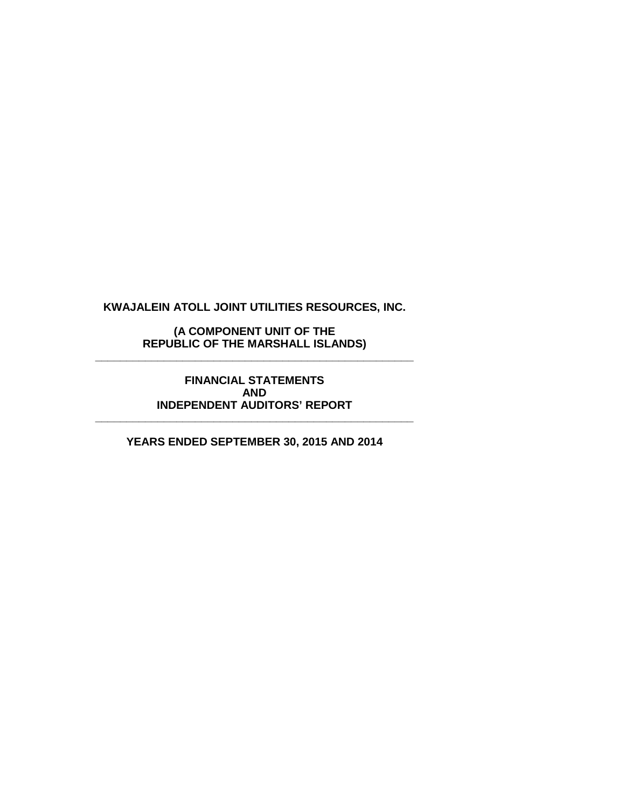**(A COMPONENT UNIT OF THE REPUBLIC OF THE MARSHALL ISLANDS) \_\_\_\_\_\_\_\_\_\_\_\_\_\_\_\_\_\_\_\_\_\_\_\_\_\_\_\_\_\_\_\_\_\_\_\_\_\_\_\_\_\_\_\_\_\_\_\_\_\_\_**

> **FINANCIAL STATEMENTS AND INDEPENDENT AUDITORS' REPORT**

**\_\_\_\_\_\_\_\_\_\_\_\_\_\_\_\_\_\_\_\_\_\_\_\_\_\_\_\_\_\_\_\_\_\_\_\_\_\_\_\_\_\_\_\_\_\_\_\_\_\_\_**

**YEARS ENDED SEPTEMBER 30, 2015 AND 2014**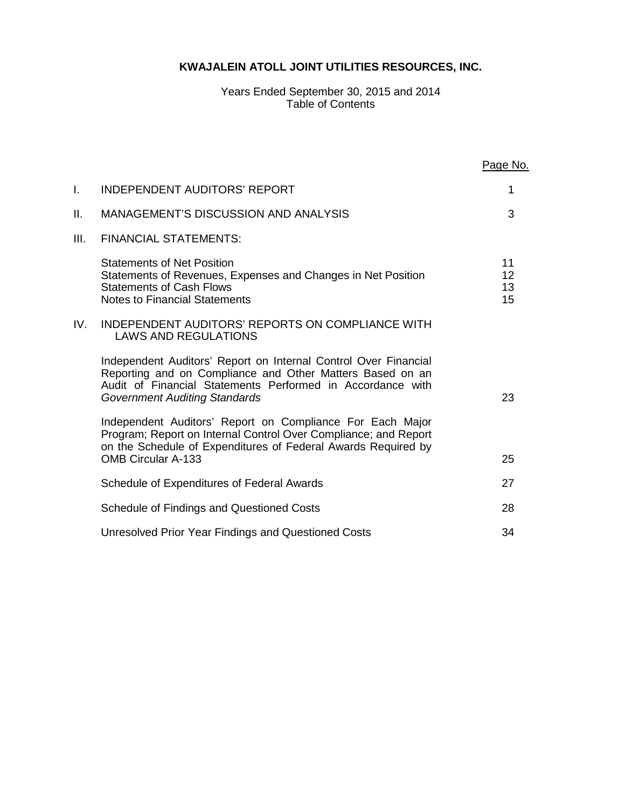#### Years Ended September 30, 2015 and 2014 Table of Contents

|      |                                                                                                                                                                                                                                    | Page No.             |
|------|------------------------------------------------------------------------------------------------------------------------------------------------------------------------------------------------------------------------------------|----------------------|
| I.   | <b>INDEPENDENT AUDITORS' REPORT</b>                                                                                                                                                                                                | 1                    |
| П.   | <b>MANAGEMENT'S DISCUSSION AND ANALYSIS</b>                                                                                                                                                                                        | 3                    |
| III. | <b>FINANCIAL STATEMENTS:</b>                                                                                                                                                                                                       |                      |
|      | <b>Statements of Net Position</b><br>Statements of Revenues, Expenses and Changes in Net Position<br><b>Statements of Cash Flows</b><br><b>Notes to Financial Statements</b>                                                       | 11<br>12<br>13<br>15 |
| IV.  | <b>INDEPENDENT AUDITORS' REPORTS ON COMPLIANCE WITH</b><br><b>LAWS AND REGULATIONS</b>                                                                                                                                             |                      |
|      | Independent Auditors' Report on Internal Control Over Financial<br>Reporting and on Compliance and Other Matters Based on an<br>Audit of Financial Statements Performed in Accordance with<br><b>Government Auditing Standards</b> | 23                   |
|      | Independent Auditors' Report on Compliance For Each Major<br>Program; Report on Internal Control Over Compliance; and Report<br>on the Schedule of Expenditures of Federal Awards Required by<br><b>OMB Circular A-133</b>         | 25                   |
|      | Schedule of Expenditures of Federal Awards                                                                                                                                                                                         | 27                   |
|      | Schedule of Findings and Questioned Costs                                                                                                                                                                                          | 28                   |
|      | Unresolved Prior Year Findings and Questioned Costs                                                                                                                                                                                | 34                   |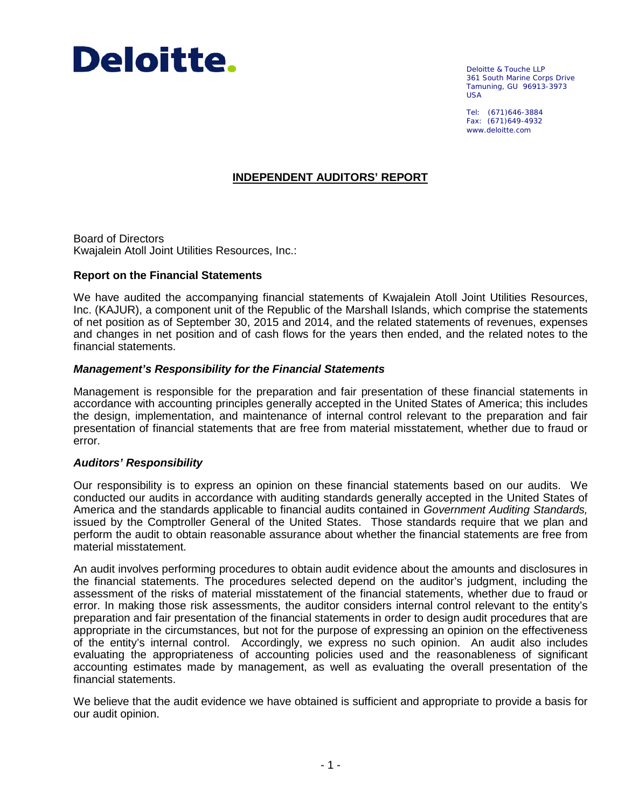

Deloitte & Touche LLP 361 South Marine Corps Drive Tamuning, GU 96913-3973 USA

Tel: (671)646-3884 Fax: (671)649-4932 www.deloitte.com

### **INDEPENDENT AUDITORS' REPORT**

Board of Directors Kwajalein Atoll Joint Utilities Resources, Inc.:

#### **Report on the Financial Statements**

We have audited the accompanying financial statements of Kwajalein Atoll Joint Utilities Resources, Inc. (KAJUR), a component unit of the Republic of the Marshall Islands, which comprise the statements of net position as of September 30, 2015 and 2014, and the related statements of revenues, expenses and changes in net position and of cash flows for the years then ended, and the related notes to the financial statements.

#### *Management's Responsibility for the Financial Statements*

Management is responsible for the preparation and fair presentation of these financial statements in accordance with accounting principles generally accepted in the United States of America; this includes the design, implementation, and maintenance of internal control relevant to the preparation and fair presentation of financial statements that are free from material misstatement, whether due to fraud or error.

### *Auditors' Responsibility*

Our responsibility is to express an opinion on these financial statements based on our audits. We conducted our audits in accordance with auditing standards generally accepted in the United States of America and the standards applicable to financial audits contained in *Government Auditing Standards,* issued by the Comptroller General of the United States. Those standards require that we plan and perform the audit to obtain reasonable assurance about whether the financial statements are free from material misstatement.

An audit involves performing procedures to obtain audit evidence about the amounts and disclosures in the financial statements. The procedures selected depend on the auditor's judgment, including the assessment of the risks of material misstatement of the financial statements, whether due to fraud or error. In making those risk assessments, the auditor considers internal control relevant to the entity's preparation and fair presentation of the financial statements in order to design audit procedures that are appropriate in the circumstances, but not for the purpose of expressing an opinion on the effectiveness of the entity's internal control. Accordingly, we express no such opinion. An audit also includes evaluating the appropriateness of accounting policies used and the reasonableness of significant accounting estimates made by management, as well as evaluating the overall presentation of the financial statements.

We believe that the audit evidence we have obtained is sufficient and appropriate to provide a basis for our audit opinion.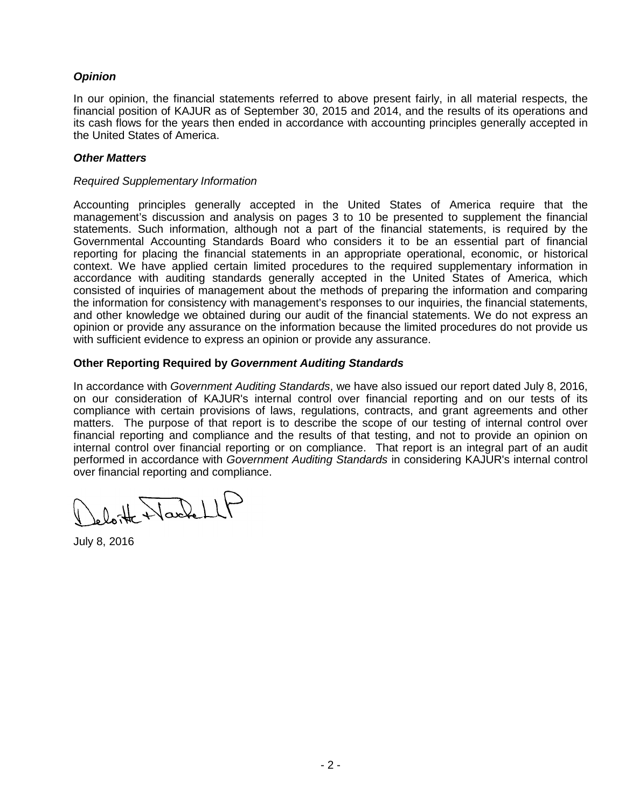## *Opinion*

In our opinion, the financial statements referred to above present fairly, in all material respects, the financial position of KAJUR as of September 30, 2015 and 2014, and the results of its operations and its cash flows for the years then ended in accordance with accounting principles generally accepted in the United States of America.

### *Other Matters*

#### *Required Supplementary Information*

Accounting principles generally accepted in the United States of America require that the management's discussion and analysis on pages 3 to 10 be presented to supplement the financial statements. Such information, although not a part of the financial statements, is required by the Governmental Accounting Standards Board who considers it to be an essential part of financial reporting for placing the financial statements in an appropriate operational, economic, or historical context. We have applied certain limited procedures to the required supplementary information in accordance with auditing standards generally accepted in the United States of America, which consisted of inquiries of management about the methods of preparing the information and comparing the information for consistency with management's responses to our inquiries, the financial statements, and other knowledge we obtained during our audit of the financial statements. We do not express an opinion or provide any assurance on the information because the limited procedures do not provide us with sufficient evidence to express an opinion or provide any assurance.

### **Other Reporting Required by** *Government Auditing Standards*

In accordance with *Government Auditing Standards*, we have also issued our report dated July 8, 2016, on our consideration of KAJUR's internal control over financial reporting and on our tests of its compliance with certain provisions of laws, regulations, contracts, and grant agreements and other matters. The purpose of that report is to describe the scope of our testing of internal control over financial reporting and compliance and the results of that testing, and not to provide an opinion on internal control over financial reporting or on compliance. That report is an integral part of an audit performed in accordance with *Government Auditing Standards* in considering KAJUR's internal control over financial reporting and compliance.

eloite NacheLLF

July 8, 2016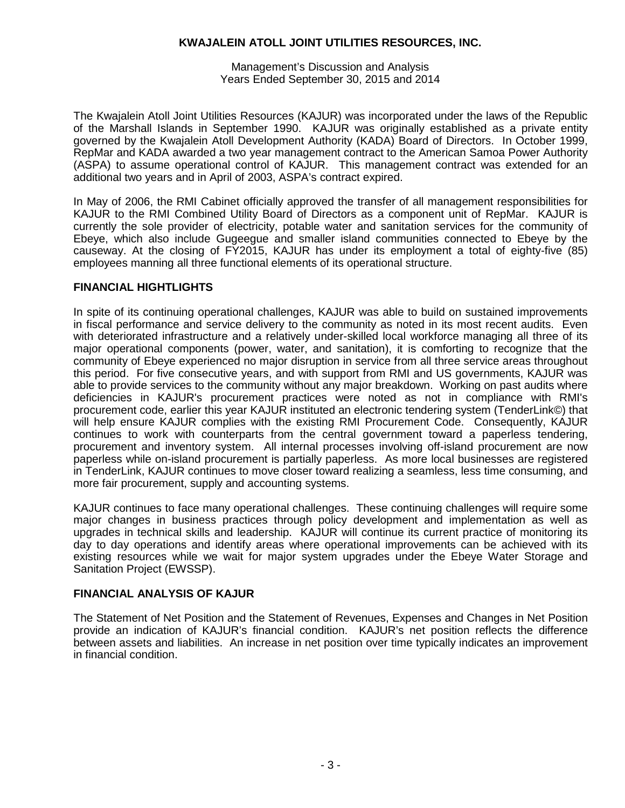Management's Discussion and Analysis Years Ended September 30, 2015 and 2014

The Kwajalein Atoll Joint Utilities Resources (KAJUR) was incorporated under the laws of the Republic of the Marshall Islands in September 1990. KAJUR was originally established as a private entity governed by the Kwajalein Atoll Development Authority (KADA) Board of Directors. In October 1999, RepMar and KADA awarded a two year management contract to the American Samoa Power Authority (ASPA) to assume operational control of KAJUR. This management contract was extended for an additional two years and in April of 2003, ASPA's contract expired.

In May of 2006, the RMI Cabinet officially approved the transfer of all management responsibilities for KAJUR to the RMI Combined Utility Board of Directors as a component unit of RepMar. KAJUR is currently the sole provider of electricity, potable water and sanitation services for the community of Ebeye, which also include Gugeegue and smaller island communities connected to Ebeye by the causeway. At the closing of FY2015, KAJUR has under its employment a total of eighty-five (85) employees manning all three functional elements of its operational structure.

### **FINANCIAL HIGHTLIGHTS**

In spite of its continuing operational challenges, KAJUR was able to build on sustained improvements in fiscal performance and service delivery to the community as noted in its most recent audits. Even with deteriorated infrastructure and a relatively under-skilled local workforce managing all three of its major operational components (power, water, and sanitation), it is comforting to recognize that the community of Ebeye experienced no major disruption in service from all three service areas throughout this period. For five consecutive years, and with support from RMI and US governments, KAJUR was able to provide services to the community without any major breakdown. Working on past audits where deficiencies in KAJUR's procurement practices were noted as not in compliance with RMI's procurement code, earlier this year KAJUR instituted an electronic tendering system (TenderLink©) that will help ensure KAJUR complies with the existing RMI Procurement Code. Consequently, KAJUR continues to work with counterparts from the central government toward a paperless tendering, procurement and inventory system. All internal processes involving off-island procurement are now paperless while on-island procurement is partially paperless. As more local businesses are registered in TenderLink, KAJUR continues to move closer toward realizing a seamless, less time consuming, and more fair procurement, supply and accounting systems.

KAJUR continues to face many operational challenges. These continuing challenges will require some major changes in business practices through policy development and implementation as well as upgrades in technical skills and leadership. KAJUR will continue its current practice of monitoring its day to day operations and identify areas where operational improvements can be achieved with its existing resources while we wait for major system upgrades under the Ebeye Water Storage and Sanitation Project (EWSSP).

## **FINANCIAL ANALYSIS OF KAJUR**

The Statement of Net Position and the Statement of Revenues, Expenses and Changes in Net Position provide an indication of KAJUR's financial condition. KAJUR's net position reflects the difference between assets and liabilities. An increase in net position over time typically indicates an improvement in financial condition.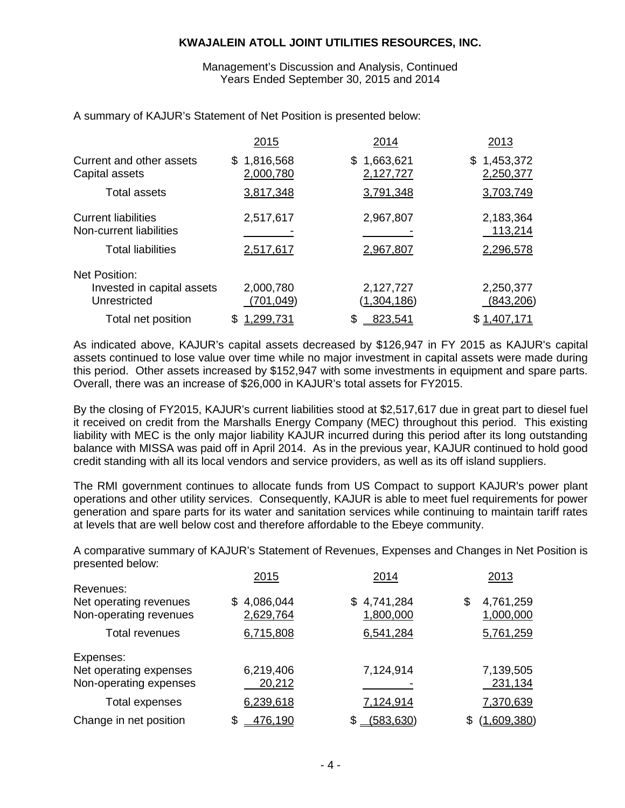Management's Discussion and Analysis, Continued Years Ended September 30, 2015 and 2014

|                                                                                   | 2015                     | 2014                         | 2013                              |
|-----------------------------------------------------------------------------------|--------------------------|------------------------------|-----------------------------------|
| Current and other assets<br>Capital assets                                        | \$1,816,568<br>2,000,780 | 1,663,621<br>\$<br>2,127,727 | \$1,453,372<br>2,250,377          |
| <b>Total assets</b>                                                               | 3,817,348                | 3,791,348                    | 3,703,749                         |
| <b>Current liabilities</b><br>Non-current liabilities<br><b>Total liabilities</b> | 2,517,617<br>2,517,617   | 2,967,807<br>2,967,807       | 2,183,364<br>113,214<br>2,296,578 |
| <b>Net Position:</b><br>Invested in capital assets                                | 2,000,780                | 2,127,727                    | 2,250,377                         |
| Unrestricted                                                                      | (701,049)                | (1,304,186)                  | (843,206)                         |
| Total net position                                                                | <u>.299,731</u><br>S     | 823,541<br>S                 | \$1,407,171                       |

A summary of KAJUR's Statement of Net Position is presented below:

As indicated above, KAJUR's capital assets decreased by \$126,947 in FY 2015 as KAJUR's capital assets continued to lose value over time while no major investment in capital assets were made during this period. Other assets increased by \$152,947 with some investments in equipment and spare parts. Overall, there was an increase of \$26,000 in KAJUR's total assets for FY2015.

By the closing of FY2015, KAJUR's current liabilities stood at \$2,517,617 due in great part to diesel fuel it received on credit from the Marshalls Energy Company (MEC) throughout this period. This existing liability with MEC is the only major liability KAJUR incurred during this period after its long outstanding balance with MISSA was paid off in April 2014. As in the previous year, KAJUR continued to hold good credit standing with all its local vendors and service providers, as well as its off island suppliers.

The RMI government continues to allocate funds from US Compact to support KAJUR's power plant operations and other utility services. Consequently, KAJUR is able to meet fuel requirements for power generation and spare parts for its water and sanitation services while continuing to maintain tariff rates at levels that are well below cost and therefore affordable to the Ebeye community.

A comparative summary of KAJUR's Statement of Revenues, Expenses and Changes in Net Position is presented below:

|                        | 2015<br>2014    |                  | 2013               |
|------------------------|-----------------|------------------|--------------------|
| Revenues:              |                 |                  |                    |
| Net operating revenues | 4,086,044<br>S. | 4,741,284<br>\$. | 4,761,259<br>\$    |
| Non-operating revenues | 2,629,764       | 1,800,000        | 1,000,000          |
| Total revenues         | 6,715,808       | 6,541,284        | 5,761,259          |
| Expenses:              |                 |                  |                    |
| Net operating expenses | 6,219,406       | 7,124,914        | 7,139,505          |
| Non-operating expenses | 20,212          |                  | 231,134            |
| Total expenses         | 6,239,618       | 7,124,914        | 7,370,639          |
| Change in net position | \$<br>476,190   | (583, 630)       | (1.609, 380)<br>\$ |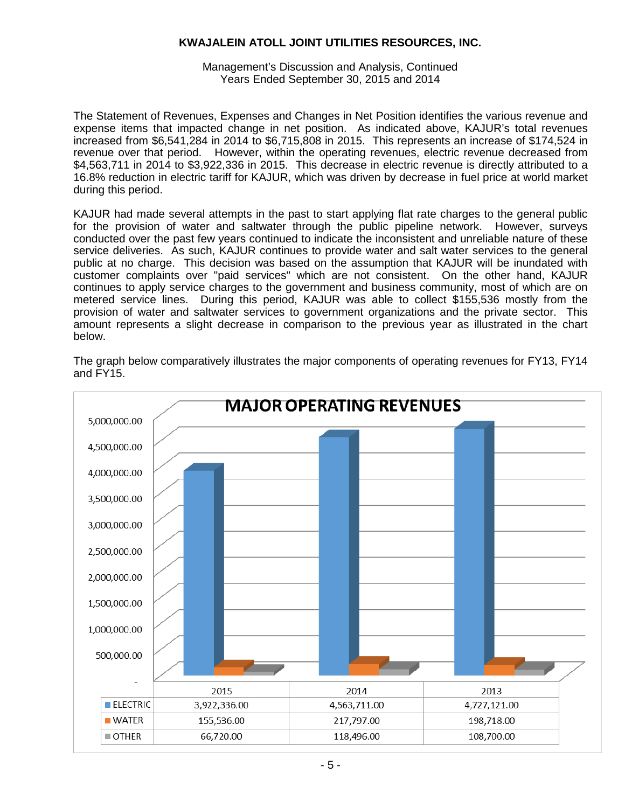Management's Discussion and Analysis, Continued Years Ended September 30, 2015 and 2014

The Statement of Revenues, Expenses and Changes in Net Position identifies the various revenue and expense items that impacted change in net position. As indicated above, KAJUR's total revenues increased from \$6,541,284 in 2014 to \$6,715,808 in 2015. This represents an increase of \$174,524 in revenue over that period. However, within the operating revenues, electric revenue decreased from \$4,563,711 in 2014 to \$3,922,336 in 2015. This decrease in electric revenue is directly attributed to a 16.8% reduction in electric tariff for KAJUR, which was driven by decrease in fuel price at world market during this period.

KAJUR had made several attempts in the past to start applying flat rate charges to the general public for the provision of water and saltwater through the public pipeline network. However, surveys conducted over the past few years continued to indicate the inconsistent and unreliable nature of these service deliveries. As such, KAJUR continues to provide water and salt water services to the general public at no charge. This decision was based on the assumption that KAJUR will be inundated with customer complaints over "paid services" which are not consistent. On the other hand, KAJUR continues to apply service charges to the government and business community, most of which are on metered service lines. During this period, KAJUR was able to collect \$155,536 mostly from the provision of water and saltwater services to government organizations and the private sector. This amount represents a slight decrease in comparison to the previous year as illustrated in the chart below.

The graph below comparatively illustrates the major components of operating revenues for FY13, FY14 and FY15.

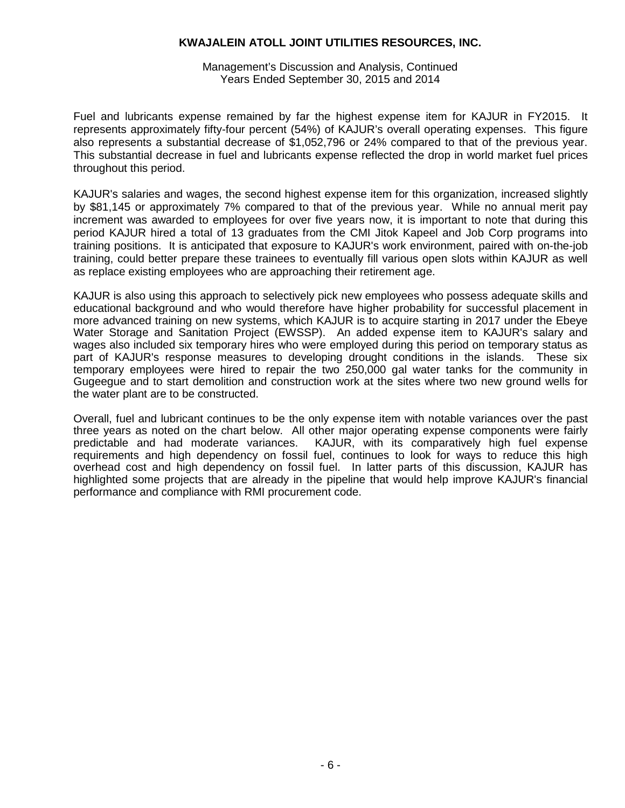Management's Discussion and Analysis, Continued Years Ended September 30, 2015 and 2014

Fuel and lubricants expense remained by far the highest expense item for KAJUR in FY2015. It represents approximately fifty-four percent (54%) of KAJUR's overall operating expenses. This figure also represents a substantial decrease of \$1,052,796 or 24% compared to that of the previous year. This substantial decrease in fuel and lubricants expense reflected the drop in world market fuel prices throughout this period.

KAJUR's salaries and wages, the second highest expense item for this organization, increased slightly by \$81,145 or approximately 7% compared to that of the previous year. While no annual merit pay increment was awarded to employees for over five years now, it is important to note that during this period KAJUR hired a total of 13 graduates from the CMI Jitok Kapeel and Job Corp programs into training positions. It is anticipated that exposure to KAJUR's work environment, paired with on-the-job training, could better prepare these trainees to eventually fill various open slots within KAJUR as well as replace existing employees who are approaching their retirement age.

KAJUR is also using this approach to selectively pick new employees who possess adequate skills and educational background and who would therefore have higher probability for successful placement in more advanced training on new systems, which KAJUR is to acquire starting in 2017 under the Ebeye Water Storage and Sanitation Project (EWSSP). An added expense item to KAJUR's salary and wages also included six temporary hires who were employed during this period on temporary status as part of KAJUR's response measures to developing drought conditions in the islands. These six temporary employees were hired to repair the two 250,000 gal water tanks for the community in Gugeegue and to start demolition and construction work at the sites where two new ground wells for the water plant are to be constructed.

Overall, fuel and lubricant continues to be the only expense item with notable variances over the past three years as noted on the chart below. All other major operating expense components were fairly predictable and had moderate variances. KAJUR, with its comparatively high fuel expense KAJUR, with its comparatively high fuel expense. requirements and high dependency on fossil fuel, continues to look for ways to reduce this high overhead cost and high dependency on fossil fuel. In latter parts of this discussion, KAJUR has highlighted some projects that are already in the pipeline that would help improve KAJUR's financial performance and compliance with RMI procurement code.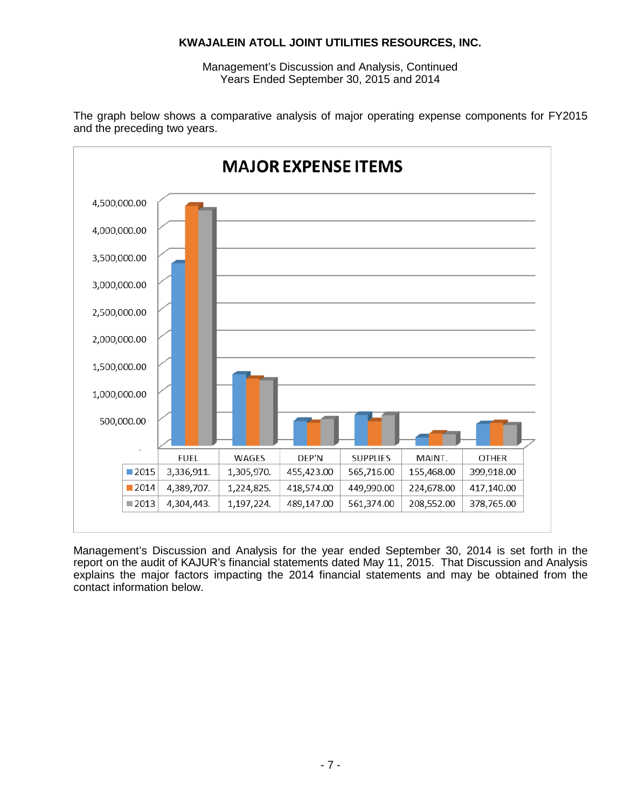Management's Discussion and Analysis, Continued Years Ended September 30, 2015 and 2014





Management's Discussion and Analysis for the year ended September 30, 2014 is set forth in the report on the audit of KAJUR's financial statements dated May 11, 2015. That Discussion and Analysis explains the major factors impacting the 2014 financial statements and may be obtained from the contact information below.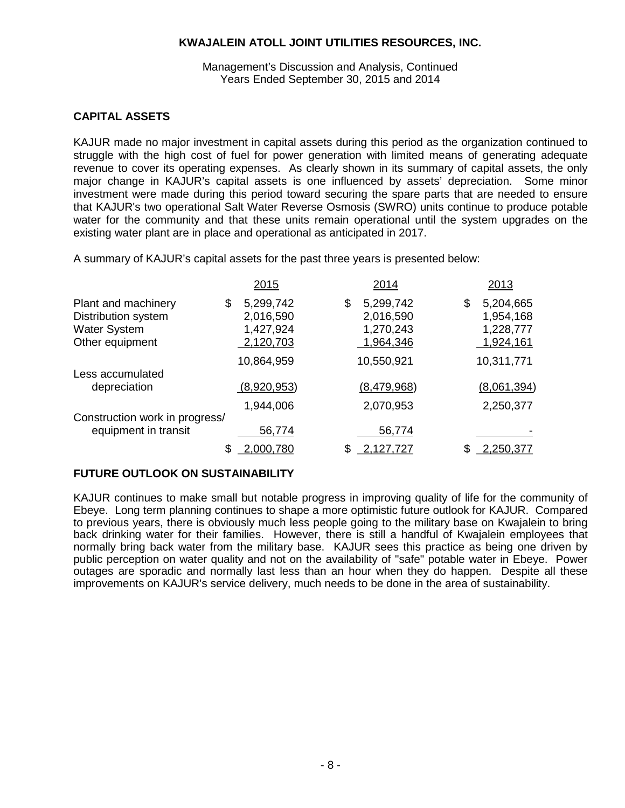#### Management's Discussion and Analysis, Continued Years Ended September 30, 2015 and 2014

### **CAPITAL ASSETS**

KAJUR made no major investment in capital assets during this period as the organization continued to struggle with the high cost of fuel for power generation with limited means of generating adequate revenue to cover its operating expenses. As clearly shown in its summary of capital assets, the only major change in KAJUR's capital assets is one influenced by assets' depreciation. Some minor investment were made during this period toward securing the spare parts that are needed to ensure that KAJUR's two operational Salt Water Reverse Osmosis (SWRO) units continue to produce potable water for the community and that these units remain operational until the system upgrades on the existing water plant are in place and operational as anticipated in 2017.

A summary of KAJUR's capital assets for the past three years is presented below:

|                                | 2015            | 2014            | 2013            |
|--------------------------------|-----------------|-----------------|-----------------|
| Plant and machinery            | 5,299,742<br>\$ | 5,299,742<br>\$ | 5,204,665<br>\$ |
| Distribution system            | 2,016,590       | 2,016,590       | 1,954,168       |
| <b>Water System</b>            | 1,427,924       | 1,270,243       | 1,228,777       |
| Other equipment                | 2,120,703       | 1,964,346       | 1,924,161       |
|                                | 10,864,959      | 10,550,921      | 10,311,771      |
| Less accumulated               |                 |                 |                 |
| depreciation                   | (8,920,953)     | (8,479,968)     | (8,061,394)     |
|                                | 1,944,006       | 2,070,953       | 2,250,377       |
| Construction work in progress/ |                 |                 |                 |
| equipment in transit           | 56,774          | 56,774          |                 |
|                                |                 |                 | .250.377        |

## **FUTURE OUTLOOK ON SUSTAINABILITY**

KAJUR continues to make small but notable progress in improving quality of life for the community of Ebeye. Long term planning continues to shape a more optimistic future outlook for KAJUR. Compared to previous years, there is obviously much less people going to the military base on Kwajalein to bring back drinking water for their families. However, there is still a handful of Kwajalein employees that normally bring back water from the military base. KAJUR sees this practice as being one driven by public perception on water quality and not on the availability of "safe" potable water in Ebeye. Power outages are sporadic and normally last less than an hour when they do happen. Despite all these improvements on KAJUR's service delivery, much needs to be done in the area of sustainability.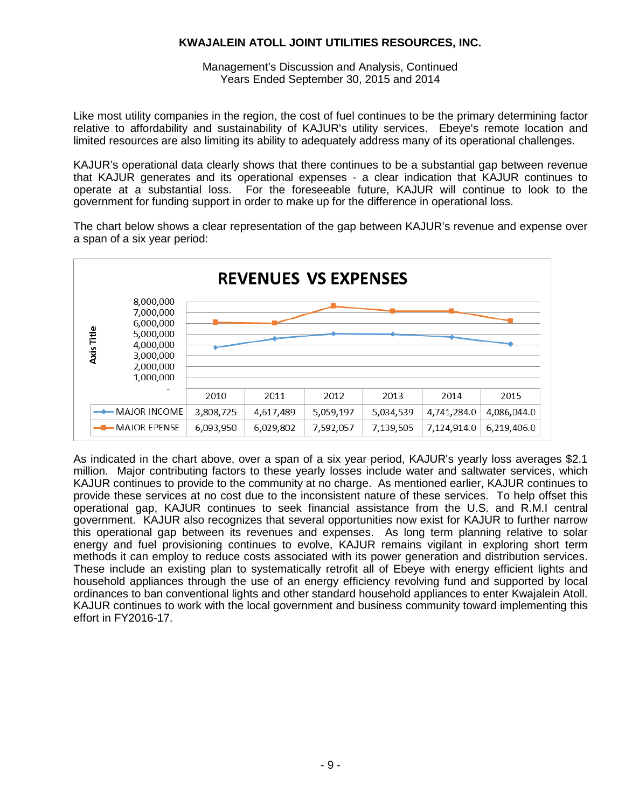Management's Discussion and Analysis, Continued Years Ended September 30, 2015 and 2014

Like most utility companies in the region, the cost of fuel continues to be the primary determining factor relative to affordability and sustainability of KAJUR's utility services. Ebeye's remote location and limited resources are also limiting its ability to adequately address many of its operational challenges.

KAJUR's operational data clearly shows that there continues to be a substantial gap between revenue that KAJUR generates and its operational expenses - a clear indication that KAJUR continues to operate at a substantial loss. For the foreseeable future, KAJUR will continue to look to the government for funding support in order to make up for the difference in operational loss.

The chart below shows a clear representation of the gap between KAJUR's revenue and expense over a span of a six year period:



As indicated in the chart above, over a span of a six year period, KAJUR's yearly loss averages \$2.1 million. Major contributing factors to these yearly losses include water and saltwater services, which KAJUR continues to provide to the community at no charge. As mentioned earlier, KAJUR continues to provide these services at no cost due to the inconsistent nature of these services. To help offset this operational gap, KAJUR continues to seek financial assistance from the U.S. and R.M.I central government. KAJUR also recognizes that several opportunities now exist for KAJUR to further narrow this operational gap between its revenues and expenses. As long term planning relative to solar energy and fuel provisioning continues to evolve, KAJUR remains vigilant in exploring short term methods it can employ to reduce costs associated with its power generation and distribution services. These include an existing plan to systematically retrofit all of Ebeye with energy efficient lights and household appliances through the use of an energy efficiency revolving fund and supported by local ordinances to ban conventional lights and other standard household appliances to enter Kwajalein Atoll. KAJUR continues to work with the local government and business community toward implementing this effort in FY2016-17.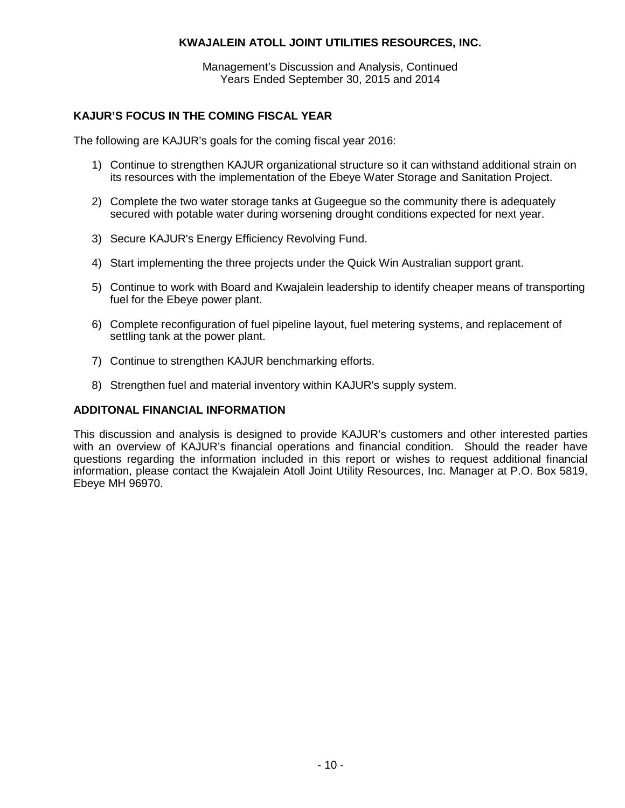Management's Discussion and Analysis, Continued Years Ended September 30, 2015 and 2014

## **KAJUR'S FOCUS IN THE COMING FISCAL YEAR**

The following are KAJUR's goals for the coming fiscal year 2016:

- 1) Continue to strengthen KAJUR organizational structure so it can withstand additional strain on its resources with the implementation of the Ebeye Water Storage and Sanitation Project.
- 2) Complete the two water storage tanks at Gugeegue so the community there is adequately secured with potable water during worsening drought conditions expected for next year.
- 3) Secure KAJUR's Energy Efficiency Revolving Fund.
- 4) Start implementing the three projects under the Quick Win Australian support grant.
- 5) Continue to work with Board and Kwajalein leadership to identify cheaper means of transporting fuel for the Ebeye power plant.
- 6) Complete reconfiguration of fuel pipeline layout, fuel metering systems, and replacement of settling tank at the power plant.
- 7) Continue to strengthen KAJUR benchmarking efforts.
- 8) Strengthen fuel and material inventory within KAJUR's supply system.

### **ADDITONAL FINANCIAL INFORMATION**

This discussion and analysis is designed to provide KAJUR's customers and other interested parties with an overview of KAJUR's financial operations and financial condition. Should the reader have questions regarding the information included in this report or wishes to request additional financial information, please contact the Kwajalein Atoll Joint Utility Resources, Inc. Manager at P.O. Box 5819, Ebeye MH 96970.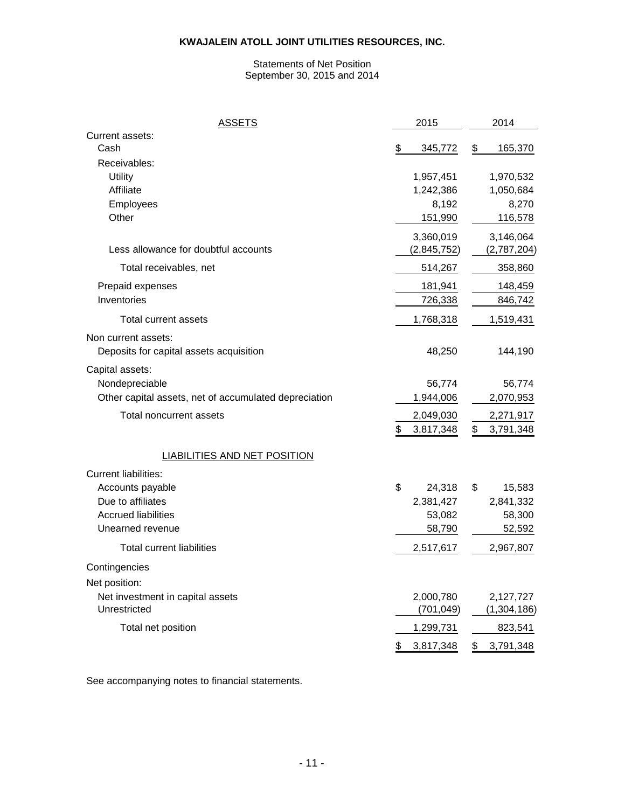#### Statements of Net Position September 30, 2015 and 2014

| <u>ASSETS</u>                                         | 2015            | 2014            |
|-------------------------------------------------------|-----------------|-----------------|
| Current assets:<br>Cash                               | \$<br>345,772   | \$<br>165,370   |
| Receivables:                                          |                 |                 |
| Utility                                               | 1,957,451       | 1,970,532       |
| Affiliate                                             | 1,242,386       | 1,050,684       |
| Employees                                             | 8,192           | 8,270           |
| Other                                                 | 151,990         | 116,578         |
|                                                       | 3,360,019       | 3,146,064       |
| Less allowance for doubtful accounts                  | (2,845,752)     | (2,787,204)     |
| Total receivables, net                                | 514,267         | 358,860         |
| Prepaid expenses                                      | 181,941         | 148,459         |
| Inventories                                           | 726,338         | 846,742         |
| Total current assets                                  | 1,768,318       | 1,519,431       |
| Non current assets:                                   |                 |                 |
| Deposits for capital assets acquisition               | 48,250          | 144,190         |
| Capital assets:                                       |                 |                 |
| Nondepreciable                                        | 56,774          | 56,774          |
| Other capital assets, net of accumulated depreciation | 1,944,006       | 2,070,953       |
| Total noncurrent assets                               | 2,049,030       | 2,271,917       |
|                                                       | \$<br>3,817,348 | \$<br>3,791,348 |
| LIABILITIES AND NET POSITION                          |                 |                 |
| <b>Current liabilities:</b>                           |                 |                 |
| Accounts payable                                      | \$<br>24,318    | \$<br>15,583    |
| Due to affiliates                                     | 2,381,427       | 2,841,332       |
| <b>Accrued liabilities</b>                            | 53,082          | 58,300          |
| Unearned revenue                                      | 58,790          | 52,592          |
| Total current liabilities                             | 2,517,617       | 2,967,807       |
| Contingencies                                         |                 |                 |
| Net position:                                         |                 |                 |
| Net investment in capital assets                      | 2,000,780       | 2,127,727       |
| Unrestricted                                          | (701, 049)      | (1,304,186)     |
| Total net position                                    | 1,299,731       | 823,541         |
|                                                       | 3,817,348<br>\$ | \$<br>3,791,348 |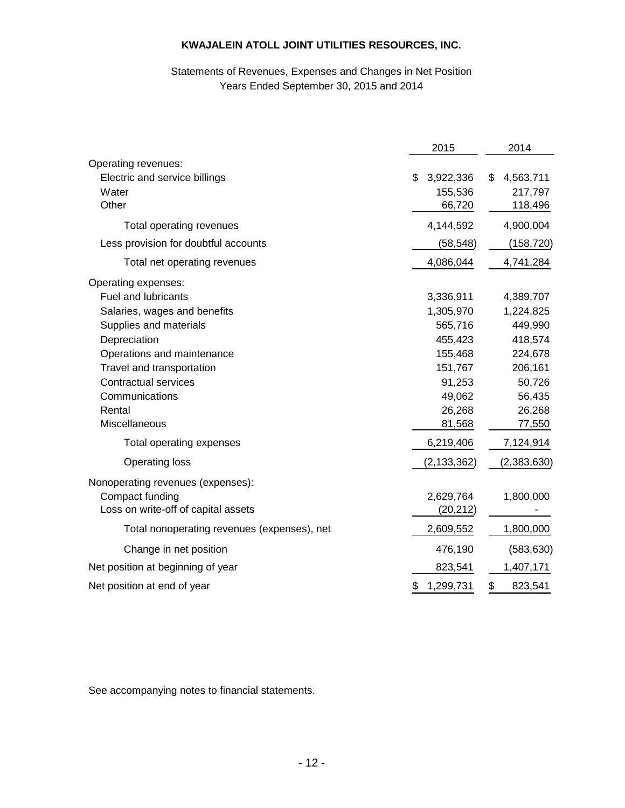## Statements of Revenues, Expenses and Changes in Net Position Years Ended September 30, 2015 and 2014

|                                             | 2015            | 2014            |
|---------------------------------------------|-----------------|-----------------|
| Operating revenues:                         |                 |                 |
| Electric and service billings               | \$<br>3,922,336 | \$<br>4,563,711 |
| Water                                       | 155,536         | 217,797         |
| Other                                       | 66,720          | 118,496         |
| Total operating revenues                    | 4,144,592       | 4,900,004       |
| Less provision for doubtful accounts        | (58, 548)       | (158, 720)      |
| Total net operating revenues                | 4,086,044       | 4,741,284       |
| Operating expenses:                         |                 |                 |
| Fuel and lubricants                         | 3,336,911       | 4,389,707       |
| Salaries, wages and benefits                | 1,305,970       | 1,224,825       |
| Supplies and materials                      | 565,716         | 449,990         |
| Depreciation                                | 455,423         | 418,574         |
| Operations and maintenance                  | 155,468         | 224,678         |
| Travel and transportation                   | 151,767         | 206,161         |
| <b>Contractual services</b>                 | 91,253          | 50,726          |
| Communications                              | 49,062          | 56,435          |
| Rental                                      | 26,268          | 26,268          |
| Miscellaneous                               | 81,568          | 77,550          |
| Total operating expenses                    | 6,219,406       | 7,124,914       |
| <b>Operating loss</b>                       | (2, 133, 362)   | (2,383,630)     |
| Nonoperating revenues (expenses):           |                 |                 |
| Compact funding                             | 2,629,764       | 1,800,000       |
| Loss on write-off of capital assets         | (20, 212)       |                 |
| Total nonoperating revenues (expenses), net | 2,609,552       | 1,800,000       |
| Change in net position                      | 476,190         | (583, 630)      |
| Net position at beginning of year           | 823,541         | 1,407,171       |
| Net position at end of year                 | \$<br>1,299,731 | \$<br>823,541   |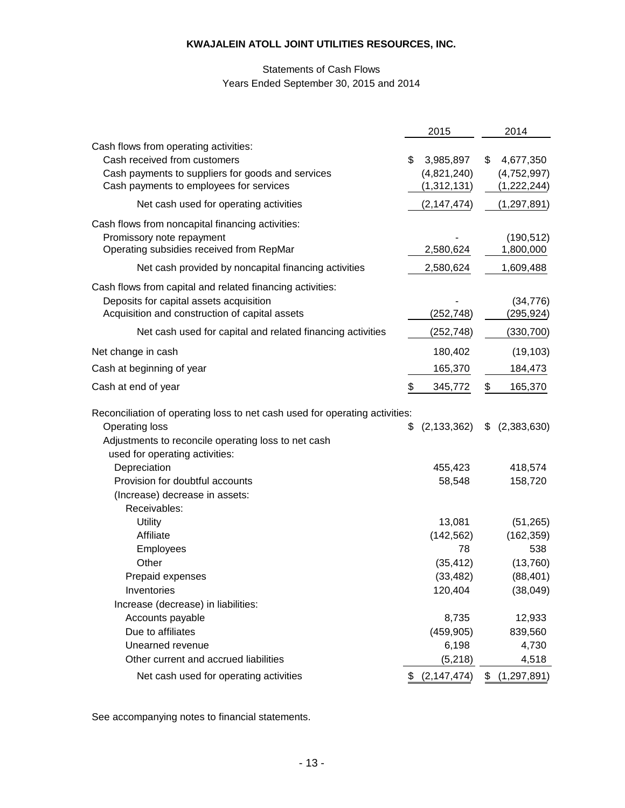## Statements of Cash Flows Years Ended September 30, 2015 and 2014

|                                                                                                                                                                                               | 2015                                                 | 2014                                                    |
|-----------------------------------------------------------------------------------------------------------------------------------------------------------------------------------------------|------------------------------------------------------|---------------------------------------------------------|
| Cash flows from operating activities:<br>Cash received from customers<br>Cash payments to suppliers for goods and services<br>Cash payments to employees for services                         | \$<br>3,985,897<br>(4,821,240)<br>(1, 312, 131)      | \$<br>4,677,350<br>(4,752,997)<br>(1,222,244)           |
| Net cash used for operating activities                                                                                                                                                        | (2, 147, 474)                                        | (1, 297, 891)                                           |
| Cash flows from noncapital financing activities:<br>Promissory note repayment<br>Operating subsidies received from RepMar                                                                     | 2,580,624                                            | (190, 512)<br>1,800,000                                 |
| Net cash provided by noncapital financing activities                                                                                                                                          | 2,580,624                                            | 1,609,488                                               |
| Cash flows from capital and related financing activities:<br>Deposits for capital assets acquisition<br>Acquisition and construction of capital assets                                        | (252, 748)                                           | (34, 776)<br>(295,924)                                  |
| Net cash used for capital and related financing activities                                                                                                                                    | (252, 748)                                           | (330, 700)                                              |
| Net change in cash                                                                                                                                                                            | 180,402                                              | (19, 103)                                               |
| Cash at beginning of year                                                                                                                                                                     | 165,370                                              | 184,473                                                 |
| Cash at end of year                                                                                                                                                                           | \$<br>345,772                                        | \$<br>165,370                                           |
| Reconciliation of operating loss to net cash used for operating activities:<br><b>Operating loss</b><br>Adjustments to reconcile operating loss to net cash<br>used for operating activities: | \$<br>(2, 133, 362)                                  | \$<br>(2,383,630)                                       |
| Depreciation<br>Provision for doubtful accounts<br>(Increase) decrease in assets:<br>Receivables:                                                                                             | 455,423<br>58,548                                    | 418,574<br>158,720                                      |
| <b>Utility</b><br>Affiliate<br>Employees<br>Other<br>Prepaid expenses                                                                                                                         | 13,081<br>(142, 562)<br>78<br>(35, 412)<br>(33, 482) | (51, 265)<br>(162, 359)<br>538<br>(13,760)<br>(88, 401) |
| Inventories<br>Increase (decrease) in liabilities:<br>Accounts payable                                                                                                                        | 120,404<br>8,735                                     | (38,049)<br>12,933                                      |
| Due to affiliates                                                                                                                                                                             | (459, 905)                                           | 839,560                                                 |
| Unearned revenue                                                                                                                                                                              | 6,198                                                | 4,730                                                   |
| Other current and accrued liabilities                                                                                                                                                         | (5,218)                                              | 4,518                                                   |
| Net cash used for operating activities                                                                                                                                                        | \$ (2,147,474)                                       | \$(1,297,891)                                           |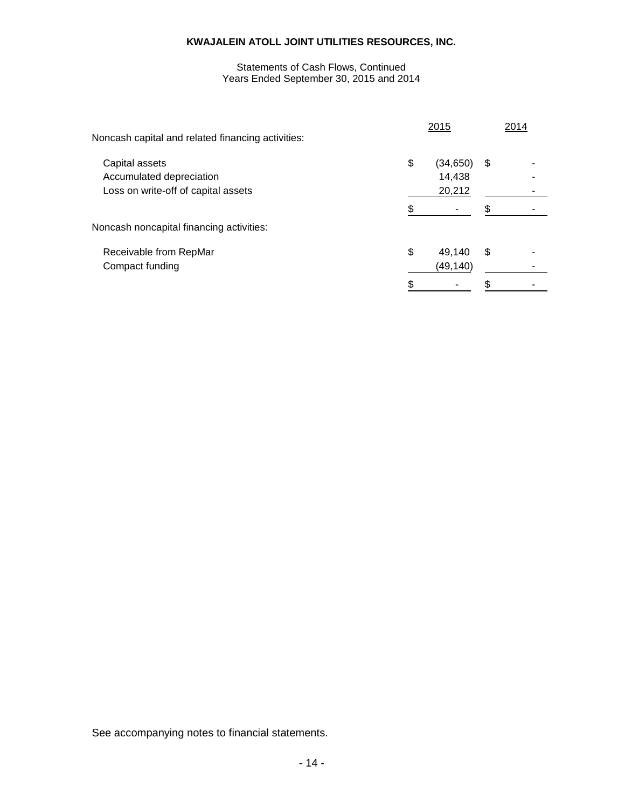#### Years Ended September 30, 2015 and 2014 Statements of Cash Flows, Continued

| Noncash capital and related financing activities: | 2015            | 2014 |
|---------------------------------------------------|-----------------|------|
| Capital assets                                    | \$<br>(34, 650) | \$   |
| Accumulated depreciation                          | 14,438          |      |
| Loss on write-off of capital assets               | 20,212          |      |
|                                                   |                 |      |
| Noncash noncapital financing activities:          |                 |      |
| Receivable from RepMar                            | \$<br>49.140    | \$   |
| Compact funding                                   | (49, 140)       |      |
|                                                   |                 |      |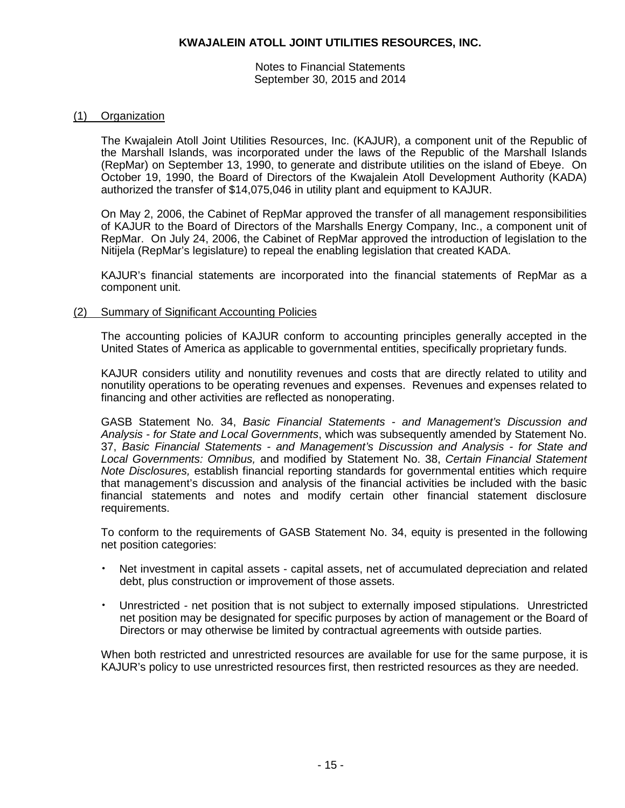Notes to Financial Statements September 30, 2015 and 2014

#### (1) Organization

The Kwajalein Atoll Joint Utilities Resources, Inc. (KAJUR), a component unit of the Republic of the Marshall Islands, was incorporated under the laws of the Republic of the Marshall Islands (RepMar) on September 13, 1990, to generate and distribute utilities on the island of Ebeye. On October 19, 1990, the Board of Directors of the Kwajalein Atoll Development Authority (KADA) authorized the transfer of \$14,075,046 in utility plant and equipment to KAJUR.

On May 2, 2006, the Cabinet of RepMar approved the transfer of all management responsibilities of KAJUR to the Board of Directors of the Marshalls Energy Company, Inc., a component unit of RepMar. On July 24, 2006, the Cabinet of RepMar approved the introduction of legislation to the Nitijela (RepMar's legislature) to repeal the enabling legislation that created KADA.

KAJUR's financial statements are incorporated into the financial statements of RepMar as a component unit.

#### (2) Summary of Significant Accounting Policies

The accounting policies of KAJUR conform to accounting principles generally accepted in the United States of America as applicable to governmental entities, specifically proprietary funds.

KAJUR considers utility and nonutility revenues and costs that are directly related to utility and nonutility operations to be operating revenues and expenses. Revenues and expenses related to financing and other activities are reflected as nonoperating.

GASB Statement No. 34, *Basic Financial Statements - and Management's Discussion and Analysis - for State and Local Governments*, which was subsequently amended by Statement No. 37, *Basic Financial Statements - and Management's Discussion and Analysis - for State and Local Governments: Omnibus,* and modified by Statement No. 38, *Certain Financial Statement Note Disclosures,* establish financial reporting standards for governmental entities which require that management's discussion and analysis of the financial activities be included with the basic financial statements and notes and modify certain other financial statement disclosure requirements.

To conform to the requirements of GASB Statement No. 34, equity is presented in the following net position categories:

- Net investment in capital assets capital assets, net of accumulated depreciation and related debt, plus construction or improvement of those assets.
- Unrestricted net position that is not subject to externally imposed stipulations. Unrestricted net position may be designated for specific purposes by action of management or the Board of Directors or may otherwise be limited by contractual agreements with outside parties.

When both restricted and unrestricted resources are available for use for the same purpose, it is KAJUR's policy to use unrestricted resources first, then restricted resources as they are needed.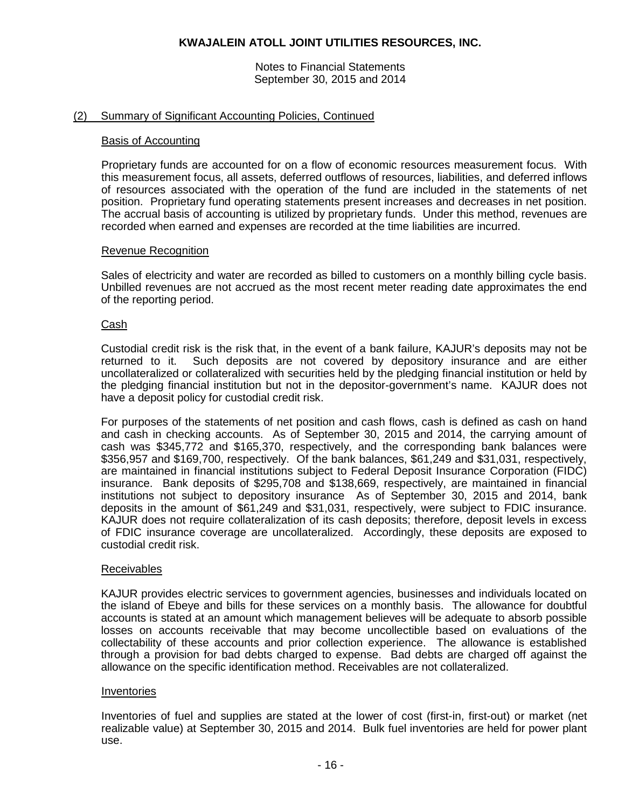Notes to Financial Statements September 30, 2015 and 2014

### (2) Summary of Significant Accounting Policies, Continued

#### Basis of Accounting

Proprietary funds are accounted for on a flow of economic resources measurement focus. With this measurement focus, all assets, deferred outflows of resources, liabilities, and deferred inflows of resources associated with the operation of the fund are included in the statements of net position. Proprietary fund operating statements present increases and decreases in net position. The accrual basis of accounting is utilized by proprietary funds. Under this method, revenues are recorded when earned and expenses are recorded at the time liabilities are incurred.

#### Revenue Recognition

Sales of electricity and water are recorded as billed to customers on a monthly billing cycle basis. Unbilled revenues are not accrued as the most recent meter reading date approximates the end of the reporting period.

#### Cash

Custodial credit risk is the risk that, in the event of a bank failure, KAJUR's deposits may not be returned to it. Such deposits are not covered by depository insurance and are either uncollateralized or collateralized with securities held by the pledging financial institution or held by the pledging financial institution but not in the depositor-government's name. KAJUR does not have a deposit policy for custodial credit risk.

For purposes of the statements of net position and cash flows, cash is defined as cash on hand and cash in checking accounts. As of September 30, 2015 and 2014, the carrying amount of cash was \$345,772 and \$165,370, respectively, and the corresponding bank balances were \$356,957 and \$169,700, respectively. Of the bank balances, \$61,249 and \$31,031, respectively, are maintained in financial institutions subject to Federal Deposit Insurance Corporation (FIDC) insurance. Bank deposits of \$295,708 and \$138,669, respectively, are maintained in financial institutions not subject to depository insurance As of September 30, 2015 and 2014, bank deposits in the amount of \$61,249 and \$31,031, respectively, were subject to FDIC insurance. KAJUR does not require collateralization of its cash deposits; therefore, deposit levels in excess of FDIC insurance coverage are uncollateralized. Accordingly, these deposits are exposed to custodial credit risk.

### Receivables

KAJUR provides electric services to government agencies, businesses and individuals located on the island of Ebeye and bills for these services on a monthly basis. The allowance for doubtful accounts is stated at an amount which management believes will be adequate to absorb possible losses on accounts receivable that may become uncollectible based on evaluations of the collectability of these accounts and prior collection experience. The allowance is established through a provision for bad debts charged to expense. Bad debts are charged off against the allowance on the specific identification method. Receivables are not collateralized.

#### Inventories

Inventories of fuel and supplies are stated at the lower of cost (first-in, first-out) or market (net realizable value) at September 30, 2015 and 2014. Bulk fuel inventories are held for power plant use.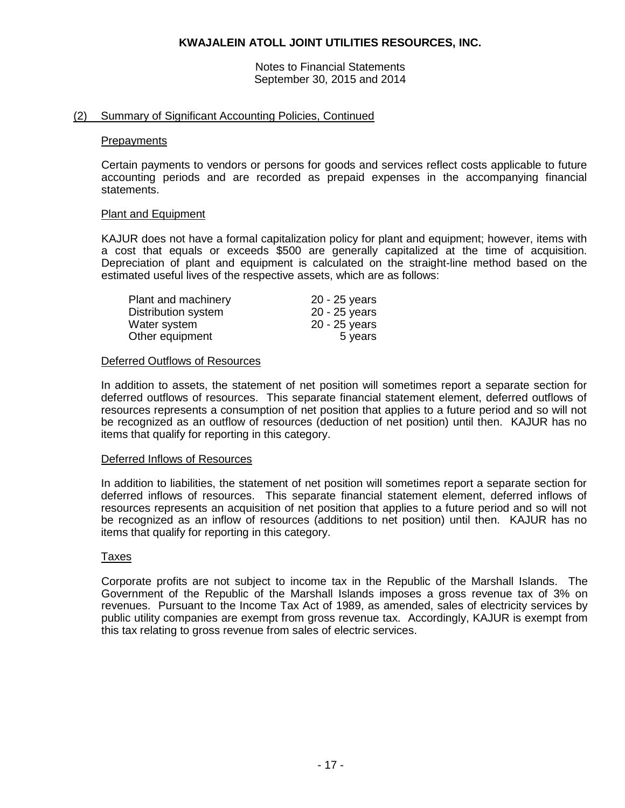Notes to Financial Statements September 30, 2015 and 2014

#### (2) Summary of Significant Accounting Policies, Continued

#### **Prepayments**

Certain payments to vendors or persons for goods and services reflect costs applicable to future accounting periods and are recorded as prepaid expenses in the accompanying financial statements.

#### Plant and Equipment

KAJUR does not have a formal capitalization policy for plant and equipment; however, items with a cost that equals or exceeds \$500 are generally capitalized at the time of acquisition. Depreciation of plant and equipment is calculated on the straight-line method based on the estimated useful lives of the respective assets, which are as follows:

| Plant and machinery | 20 - 25 years |
|---------------------|---------------|
| Distribution system | 20 - 25 years |
| Water system        | 20 - 25 years |
| Other equipment     | 5 years       |

#### Deferred Outflows of Resources

In addition to assets, the statement of net position will sometimes report a separate section for deferred outflows of resources. This separate financial statement element, deferred outflows of resources represents a consumption of net position that applies to a future period and so will not be recognized as an outflow of resources (deduction of net position) until then. KAJUR has no items that qualify for reporting in this category.

#### Deferred Inflows of Resources

In addition to liabilities, the statement of net position will sometimes report a separate section for deferred inflows of resources. This separate financial statement element, deferred inflows of resources represents an acquisition of net position that applies to a future period and so will not be recognized as an inflow of resources (additions to net position) until then. KAJUR has no items that qualify for reporting in this category.

#### Taxes

Corporate profits are not subject to income tax in the Republic of the Marshall Islands. The Government of the Republic of the Marshall Islands imposes a gross revenue tax of 3% on revenues. Pursuant to the Income Tax Act of 1989, as amended, sales of electricity services by public utility companies are exempt from gross revenue tax. Accordingly, KAJUR is exempt from this tax relating to gross revenue from sales of electric services.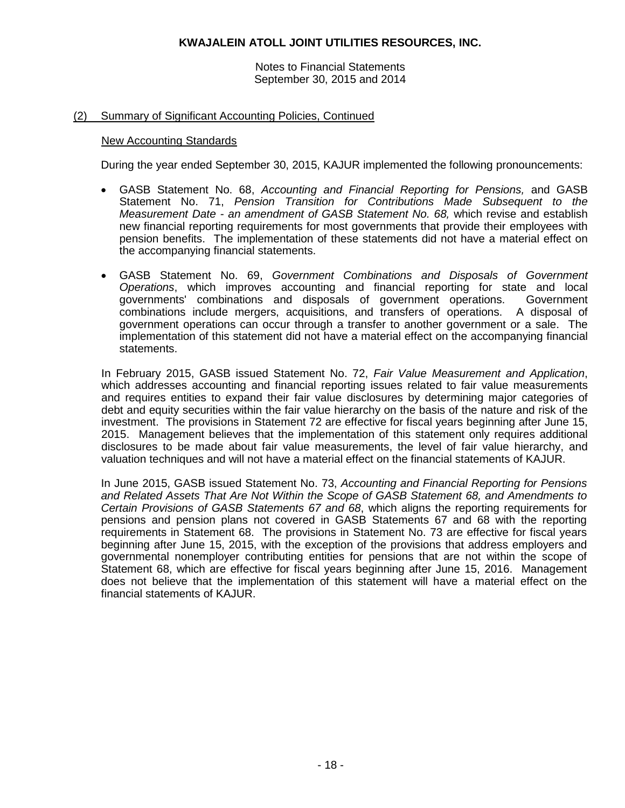Notes to Financial Statements September 30, 2015 and 2014

### (2) Summary of Significant Accounting Policies, Continued

#### New Accounting Standards

During the year ended September 30, 2015, KAJUR implemented the following pronouncements:

- GASB Statement No. 68, *Accounting and Financial Reporting for Pensions,* and GASB Statement No. 71, *Pension Transition for Contributions Made Subsequent to the Measurement Date - an amendment of GASB Statement No. 68,* which revise and establish new financial reporting requirements for most governments that provide their employees with pension benefits. The implementation of these statements did not have a material effect on the accompanying financial statements.
- GASB Statement No. 69, *Government Combinations and Disposals of Government Operations*, which improves accounting and financial reporting for state and local governments' combinations and disposals of government operations. Government combinations include mergers, acquisitions, and transfers of operations. A disposal of government operations can occur through a transfer to another government or a sale. The implementation of this statement did not have a material effect on the accompanying financial statements.

In February 2015, GASB issued Statement No. 72, *Fair Value Measurement and Application*, which addresses accounting and financial reporting issues related to fair value measurements and requires entities to expand their fair value disclosures by determining major categories of debt and equity securities within the fair value hierarchy on the basis of the nature and risk of the investment. The provisions in Statement 72 are effective for fiscal years beginning after June 15, 2015. Management believes that the implementation of this statement only requires additional disclosures to be made about fair value measurements, the level of fair value hierarchy, and valuation techniques and will not have a material effect on the financial statements of KAJUR.

In June 2015, GASB issued Statement No. 73, *Accounting and Financial Reporting for Pensions and Related Assets That Are Not Within the Scope of GASB Statement 68, and Amendments to Certain Provisions of GASB Statements 67 and 68*, which aligns the reporting requirements for pensions and pension plans not covered in GASB Statements 67 and 68 with the reporting requirements in Statement 68. The provisions in Statement No. 73 are effective for fiscal years beginning after June 15, 2015, with the exception of the provisions that address employers and governmental nonemployer contributing entities for pensions that are not within the scope of Statement 68, which are effective for fiscal years beginning after June 15, 2016. Management does not believe that the implementation of this statement will have a material effect on the financial statements of KAJUR.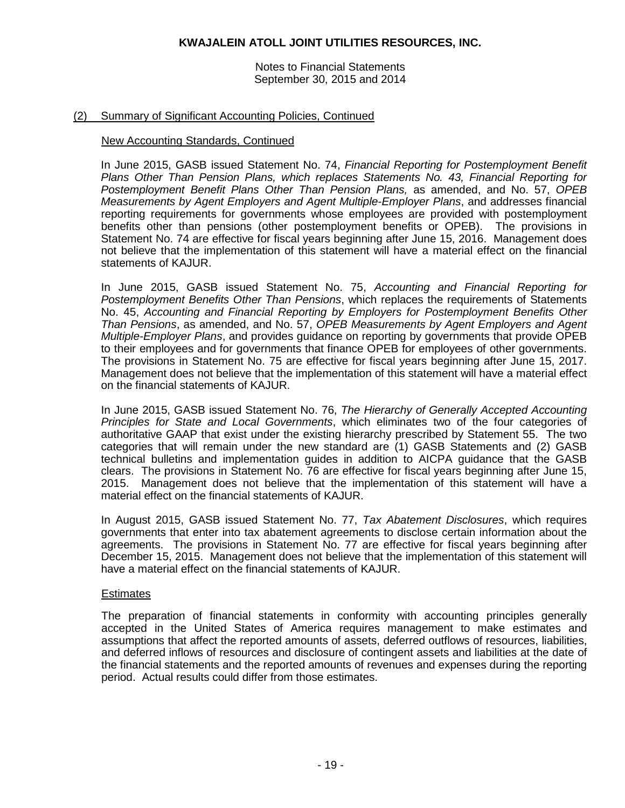Notes to Financial Statements September 30, 2015 and 2014

### (2) Summary of Significant Accounting Policies, Continued

#### New Accounting Standards, Continued

In June 2015, GASB issued Statement No. 74, *Financial Reporting for Postemployment Benefit Plans Other Than Pension Plans, which replaces Statements No. 43, Financial Reporting for Postemployment Benefit Plans Other Than Pension Plans,* as amended, and No. 57, *OPEB Measurements by Agent Employers and Agent Multiple-Employer Plans*, and addresses financial reporting requirements for governments whose employees are provided with postemployment benefits other than pensions (other postemployment benefits or OPEB). The provisions in Statement No. 74 are effective for fiscal years beginning after June 15, 2016. Management does not believe that the implementation of this statement will have a material effect on the financial statements of KAJUR.

In June 2015, GASB issued Statement No. 75, *Accounting and Financial Reporting for Postemployment Benefits Other Than Pensions*, which replaces the requirements of Statements No. 45, *Accounting and Financial Reporting by Employers for Postemployment Benefits Other Than Pensions*, as amended, and No. 57, *OPEB Measurements by Agent Employers and Agent Multiple-Employer Plans*, and provides guidance on reporting by governments that provide OPEB to their employees and for governments that finance OPEB for employees of other governments. The provisions in Statement No. 75 are effective for fiscal years beginning after June 15, 2017. Management does not believe that the implementation of this statement will have a material effect on the financial statements of KAJUR.

In June 2015, GASB issued Statement No. 76, *The Hierarchy of Generally Accepted Accounting Principles for State and Local Governments*, which eliminates two of the four categories of authoritative GAAP that exist under the existing hierarchy prescribed by Statement 55. The two categories that will remain under the new standard are (1) GASB Statements and (2) GASB technical bulletins and implementation guides in addition to AICPA guidance that the GASB clears. The provisions in Statement No. 76 are effective for fiscal years beginning after June 15, 2015. Management does not believe that the implementation of this statement will have a material effect on the financial statements of KAJUR.

In August 2015, GASB issued Statement No. 77, *Tax Abatement Disclosures*, which requires governments that enter into tax abatement agreements to disclose certain information about the agreements. The provisions in Statement No. 77 are effective for fiscal years beginning after December 15, 2015. Management does not believe that the implementation of this statement will have a material effect on the financial statements of KAJUR.

#### **Estimates**

The preparation of financial statements in conformity with accounting principles generally accepted in the United States of America requires management to make estimates and assumptions that affect the reported amounts of assets, deferred outflows of resources, liabilities, and deferred inflows of resources and disclosure of contingent assets and liabilities at the date of the financial statements and the reported amounts of revenues and expenses during the reporting period. Actual results could differ from those estimates.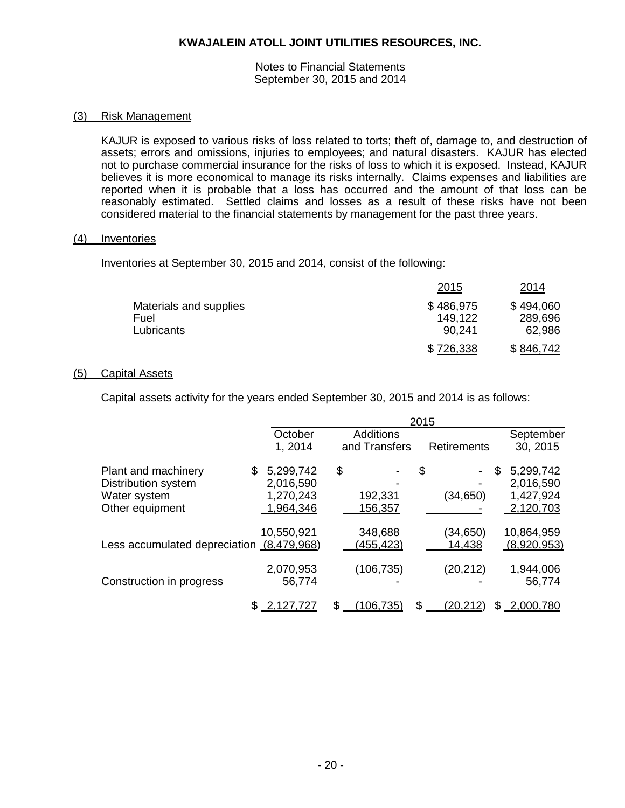Notes to Financial Statements September 30, 2015 and 2014

#### (3) Risk Management

KAJUR is exposed to various risks of loss related to torts; theft of, damage to, and destruction of assets; errors and omissions, injuries to employees; and natural disasters. KAJUR has elected not to purchase commercial insurance for the risks of loss to which it is exposed. Instead, KAJUR believes it is more economical to manage its risks internally. Claims expenses and liabilities are reported when it is probable that a loss has occurred and the amount of that loss can be reasonably estimated. Settled claims and losses as a result of these risks have not been considered material to the financial statements by management for the past three years.

#### (4) Inventories

Inventories at September 30, 2015 and 2014, consist of the following:

|                        | 2015      | 2014      |
|------------------------|-----------|-----------|
| Materials and supplies | \$486,975 | \$494,060 |
| Fuel                   | 149.122   | 289,696   |
| Lubricants             | 90,241    | 62,986    |
|                        | \$726,338 | \$846,742 |

#### (5) Capital Assets

Capital assets activity for the years ended September 30, 2015 and 2014 is as follows:

|                                           |   |                     |                  | 2015 |                    |   |                     |
|-------------------------------------------|---|---------------------|------------------|------|--------------------|---|---------------------|
|                                           |   | October             | <b>Additions</b> |      |                    |   | September           |
|                                           |   | 1, 2014             | and Transfers    |      | <b>Retirements</b> |   | 30, 2015            |
| Plant and machinery                       | S | 5,299,742           | \$               | \$   |                    | S | 5,299,742           |
| Distribution system                       |   | 2,016,590           |                  |      |                    |   | 2,016,590           |
| Water system                              |   | 1,270,243           | 192,331          |      | (34, 650)          |   | 1,427,924           |
| Other equipment                           |   | 1,964,346           | 156,357          |      |                    |   | 2,120,703           |
|                                           |   | 10,550,921          | 348,688          |      | (34,650)           |   | 10,864,959          |
| Less accumulated depreciation (8,479,968) |   |                     | (455, 423)       |      | 14,438             |   | (8,920,953)         |
| Construction in progress                  |   | 2,070,953<br>56,774 | (106, 735)       |      | (20, 212)          |   | 1,944,006<br>56,774 |
|                                           |   | 2,127,727           | \$<br>106,735    | \$.  | <u>(20,212)</u>    | S | 2,000,780           |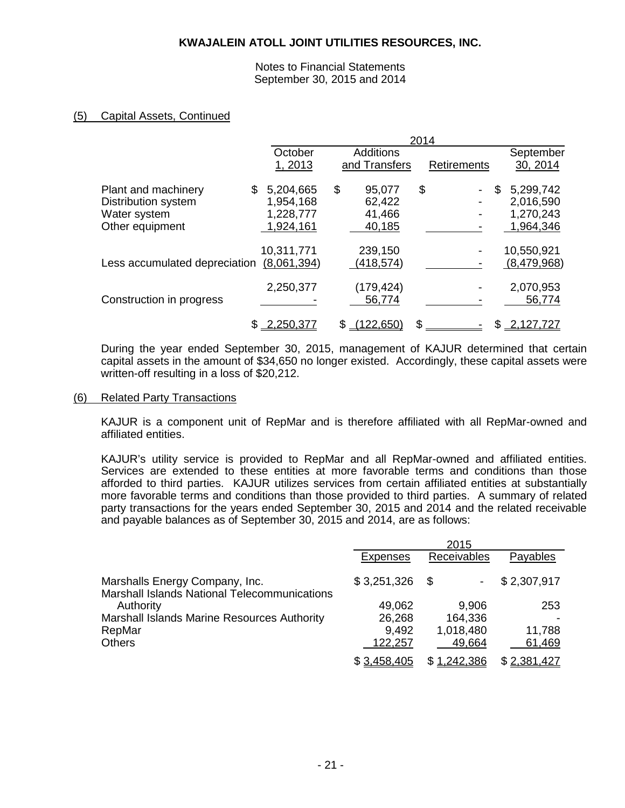Notes to Financial Statements September 30, 2015 and 2014

### (5) Capital Assets, Continued

|                               |     |             | 2014 |                  |    |                    |     |             |
|-------------------------------|-----|-------------|------|------------------|----|--------------------|-----|-------------|
|                               |     | October     |      | <b>Additions</b> |    |                    |     | September   |
|                               |     | 1,2013      |      | and Transfers    |    | <b>Retirements</b> |     | 30, 2014    |
| Plant and machinery           | \$. | 5,204,665   | \$   | 95,077           | \$ |                    | \$. | 5,299,742   |
| Distribution system           |     | 1,954,168   |      | 62,422           |    |                    |     | 2,016,590   |
| Water system                  |     | 1,228,777   |      | 41,466           |    |                    |     | 1,270,243   |
| Other equipment               |     | 1,924,161   |      | 40,185           |    |                    |     | 1,964,346   |
|                               |     |             |      |                  |    |                    |     |             |
|                               |     | 10,311,771  |      | 239,150          |    |                    |     | 10,550,921  |
| Less accumulated depreciation |     | (8,061,394) |      | (418, 574)       |    |                    |     | (8,479,968) |
|                               |     |             |      |                  |    |                    |     |             |
|                               |     | 2,250,377   |      | (179, 424)       |    |                    |     | 2,070,953   |
| Construction in progress      |     |             |      | 56,774           |    |                    |     | 56,774      |
|                               |     | 2,250,377   |      | (122, 650)       |    |                    |     | 2,127,727   |
|                               |     |             |      |                  |    |                    |     |             |

During the year ended September 30, 2015, management of KAJUR determined that certain capital assets in the amount of \$34,650 no longer existed. Accordingly, these capital assets were written-off resulting in a loss of \$20,212.

#### (6) Related Party Transactions

KAJUR is a component unit of RepMar and is therefore affiliated with all RepMar-owned and affiliated entities.

KAJUR's utility service is provided to RepMar and all RepMar-owned and affiliated entities. Services are extended to these entities at more favorable terms and conditions than those afforded to third parties. KAJUR utilizes services from certain affiliated entities at substantially more favorable terms and conditions than those provided to third parties. A summary of related party transactions for the years ended September 30, 2015 and 2014 and the related receivable and payable balances as of September 30, 2015 and 2014, are as follows:

|                                                                                | 2015            |             |             |
|--------------------------------------------------------------------------------|-----------------|-------------|-------------|
|                                                                                | <b>Expenses</b> | Receivables | Payables    |
| Marshalls Energy Company, Inc.<br>Marshall Islands National Telecommunications | \$3,251,326     | \$          | \$2,307,917 |
| Authority                                                                      | 49,062          | 9,906       | 253         |
| Marshall Islands Marine Resources Authority                                    | 26,268          | 164,336     |             |
| RepMar                                                                         | 9,492           | 1,018,480   | 11,788      |
| <b>Others</b>                                                                  | 122,257         | 49,664      | 61,469      |
|                                                                                | \$3,458,405     | \$1,242,386 | \$2,381,427 |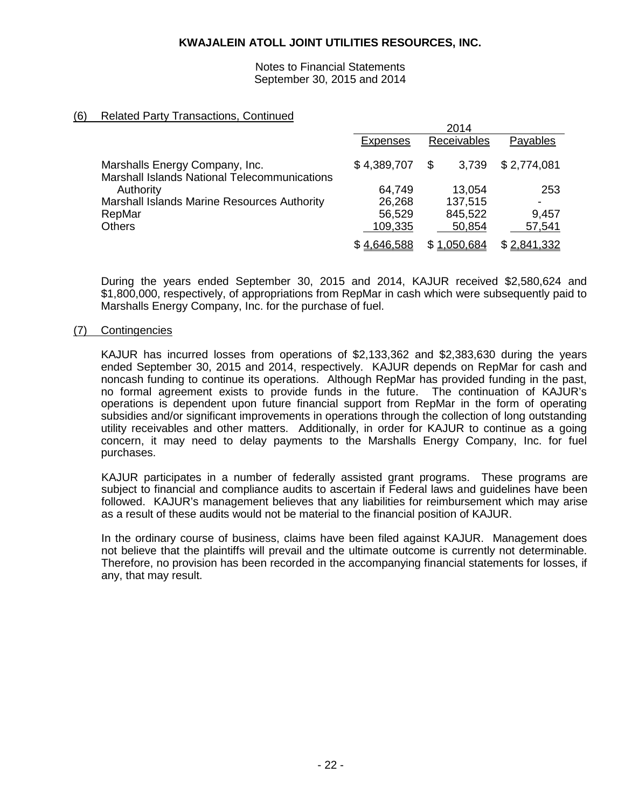#### Notes to Financial Statements September 30, 2015 and 2014

 $2011$ 

### (6) Related Party Transactions, Continued

|                                                     | 2014            |             |             |
|-----------------------------------------------------|-----------------|-------------|-------------|
|                                                     | <b>Expenses</b> | Receivables | Payables    |
| Marshalls Energy Company, Inc.                      | \$4,389,707     | 3,739<br>\$ | \$2,774,081 |
| <b>Marshall Islands National Telecommunications</b> |                 |             |             |
| Authority                                           | 64,749          | 13,054      | 253         |
| Marshall Islands Marine Resources Authority         | 26,268          | 137,515     |             |
| RepMar                                              | 56,529          | 845,522     | 9,457       |
| <b>Others</b>                                       | 109,335         | 50,854      | 57,541      |
|                                                     | \$4,646,588     | \$1,050,684 | \$2,841,332 |

During the years ended September 30, 2015 and 2014, KAJUR received \$2,580,624 and \$1,800,000, respectively, of appropriations from RepMar in cash which were subsequently paid to Marshalls Energy Company, Inc. for the purchase of fuel.

### (7) Contingencies

KAJUR has incurred losses from operations of \$2,133,362 and \$2,383,630 during the years ended September 30, 2015 and 2014, respectively. KAJUR depends on RepMar for cash and noncash funding to continue its operations. Although RepMar has provided funding in the past, no formal agreement exists to provide funds in the future. The continuation of KAJUR's operations is dependent upon future financial support from RepMar in the form of operating subsidies and/or significant improvements in operations through the collection of long outstanding utility receivables and other matters. Additionally, in order for KAJUR to continue as a going concern, it may need to delay payments to the Marshalls Energy Company, Inc. for fuel purchases.

KAJUR participates in a number of federally assisted grant programs. These programs are subject to financial and compliance audits to ascertain if Federal laws and guidelines have been followed. KAJUR's management believes that any liabilities for reimbursement which may arise as a result of these audits would not be material to the financial position of KAJUR.

In the ordinary course of business, claims have been filed against KAJUR. Management does not believe that the plaintiffs will prevail and the ultimate outcome is currently not determinable. Therefore, no provision has been recorded in the accompanying financial statements for losses, if any, that may result.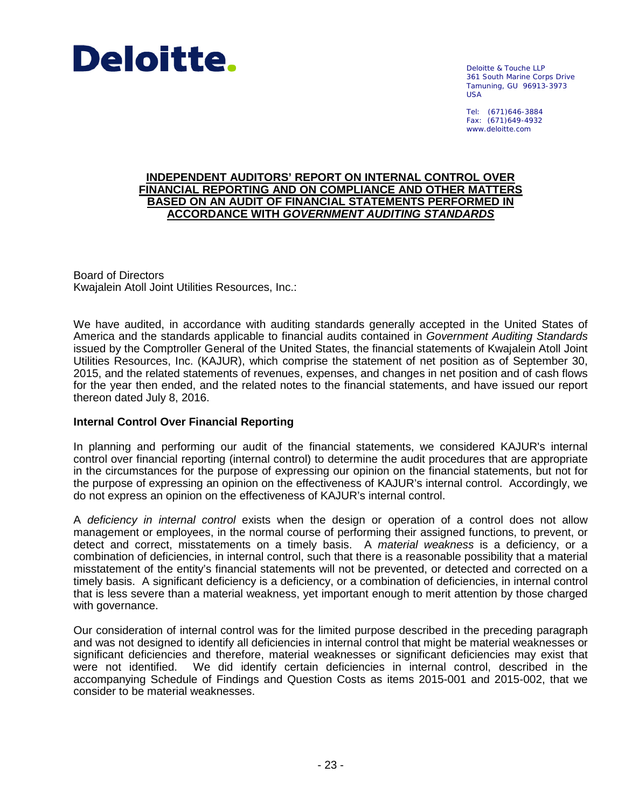

Deloitte & Touche LLP 361 South Marine Corps Drive Tamuning, GU 96913-3973 USA

Tel: (671)646-3884 Fax: (671)649-4932 www.deloitte.com

#### **INDEPENDENT AUDITORS' REPORT ON INTERNAL CONTROL OVER FINANCIAL REPORTING AND ON COMPLIANCE AND OTHER MATTERS BASED ON AN AUDIT OF FINANCIAL STATEMENTS PERFORMED IN ACCORDANCE WITH** *GOVERNMENT AUDITING STANDARDS*

Board of Directors Kwajalein Atoll Joint Utilities Resources, Inc.:

We have audited, in accordance with auditing standards generally accepted in the United States of America and the standards applicable to financial audits contained in *Government Auditing Standards*  issued by the Comptroller General of the United States, the financial statements of Kwajalein Atoll Joint Utilities Resources, Inc. (KAJUR), which comprise the statement of net position as of September 30, 2015, and the related statements of revenues, expenses, and changes in net position and of cash flows for the year then ended, and the related notes to the financial statements, and have issued our report thereon dated July 8, 2016.

### **Internal Control Over Financial Reporting**

In planning and performing our audit of the financial statements, we considered KAJUR's internal control over financial reporting (internal control) to determine the audit procedures that are appropriate in the circumstances for the purpose of expressing our opinion on the financial statements, but not for the purpose of expressing an opinion on the effectiveness of KAJUR's internal control. Accordingly, we do not express an opinion on the effectiveness of KAJUR's internal control.

A *deficiency in internal control* exists when the design or operation of a control does not allow management or employees, in the normal course of performing their assigned functions, to prevent, or detect and correct, misstatements on a timely basis. A *material weakness* is a deficiency, or a combination of deficiencies, in internal control, such that there is a reasonable possibility that a material misstatement of the entity's financial statements will not be prevented, or detected and corrected on a timely basis. A significant deficiency is a deficiency, or a combination of deficiencies, in internal control that is less severe than a material weakness, yet important enough to merit attention by those charged with governance.

Our consideration of internal control was for the limited purpose described in the preceding paragraph and was not designed to identify all deficiencies in internal control that might be material weaknesses or significant deficiencies and therefore, material weaknesses or significant deficiencies may exist that were not identified. We did identify certain deficiencies in internal control, described in the accompanying Schedule of Findings and Question Costs as items 2015-001 and 2015-002, that we consider to be material weaknesses.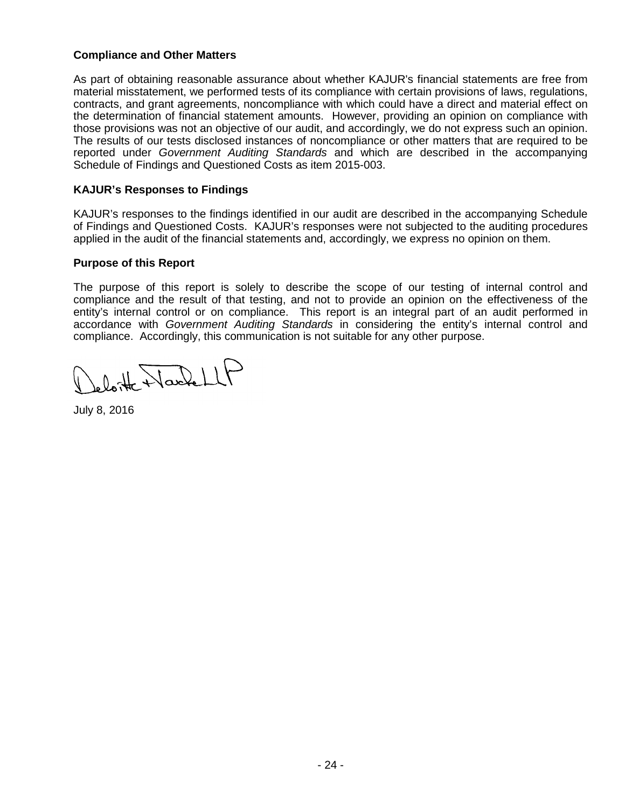### **Compliance and Other Matters**

As part of obtaining reasonable assurance about whether KAJUR's financial statements are free from material misstatement, we performed tests of its compliance with certain provisions of laws, regulations, contracts, and grant agreements, noncompliance with which could have a direct and material effect on the determination of financial statement amounts. However, providing an opinion on compliance with those provisions was not an objective of our audit, and accordingly, we do not express such an opinion. The results of our tests disclosed instances of noncompliance or other matters that are required to be reported under *Government Auditing Standards* and which are described in the accompanying Schedule of Findings and Questioned Costs as item 2015-003.

## **KAJUR's Responses to Findings**

KAJUR's responses to the findings identified in our audit are described in the accompanying Schedule of Findings and Questioned Costs. KAJUR's responses were not subjected to the auditing procedures applied in the audit of the financial statements and, accordingly, we express no opinion on them.

### **Purpose of this Report**

The purpose of this report is solely to describe the scope of our testing of internal control and compliance and the result of that testing, and not to provide an opinion on the effectiveness of the entity's internal control or on compliance. This report is an integral part of an audit performed in accordance with *Government Auditing Standards* in considering the entity's internal control and compliance. Accordingly, this communication is not suitable for any other purpose.

leloitte NacheLLF

July 8, 2016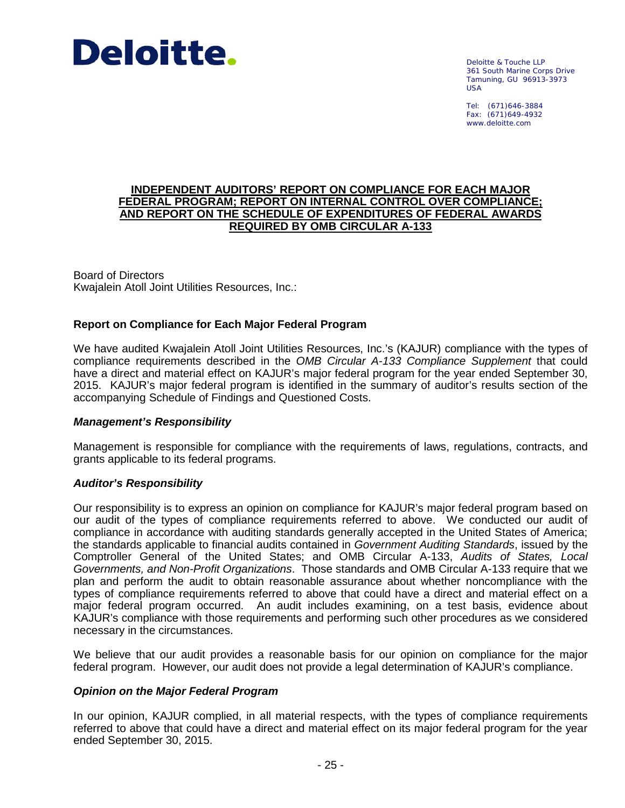

Deloitte & Touche LLP 361 South Marine Corps Drive Tamuning, GU 96913-3973 USA

Tel: (671)646-3884 Fax: (671)649-4932 www.deloitte.com

#### **INDEPENDENT AUDITORS' REPORT ON COMPLIANCE FOR EACH MAJOR FEDERAL PROGRAM; REPORT ON INTERNAL CONTROL OVER COMPLIANCE; AND REPORT ON THE SCHEDULE OF EXPENDITURES OF FEDERAL AWARDS REQUIRED BY OMB CIRCULAR A-133**

Board of Directors Kwajalein Atoll Joint Utilities Resources, Inc.:

### **Report on Compliance for Each Major Federal Program**

We have audited Kwajalein Atoll Joint Utilities Resources, Inc.'s (KAJUR) compliance with the types of compliance requirements described in the *OMB Circular A-133 Compliance Supplement* that could have a direct and material effect on KAJUR's major federal program for the year ended September 30, 2015. KAJUR's major federal program is identified in the summary of auditor's results section of the accompanying Schedule of Findings and Questioned Costs.

### *Management's Responsibility*

Management is responsible for compliance with the requirements of laws, regulations, contracts, and grants applicable to its federal programs.

### *Auditor's Responsibility*

Our responsibility is to express an opinion on compliance for KAJUR's major federal program based on our audit of the types of compliance requirements referred to above. We conducted our audit of compliance in accordance with auditing standards generally accepted in the United States of America; the standards applicable to financial audits contained in *Government Auditing Standards*, issued by the Comptroller General of the United States; and OMB Circular A-133, *Audits of States, Local Governments, and Non-Profit Organizations*. Those standards and OMB Circular A-133 require that we plan and perform the audit to obtain reasonable assurance about whether noncompliance with the types of compliance requirements referred to above that could have a direct and material effect on a major federal program occurred. An audit includes examining, on a test basis, evidence about KAJUR's compliance with those requirements and performing such other procedures as we considered necessary in the circumstances.

We believe that our audit provides a reasonable basis for our opinion on compliance for the major federal program. However, our audit does not provide a legal determination of KAJUR's compliance.

### *Opinion on the Major Federal Program*

In our opinion, KAJUR complied, in all material respects, with the types of compliance requirements referred to above that could have a direct and material effect on its major federal program for the year ended September 30, 2015.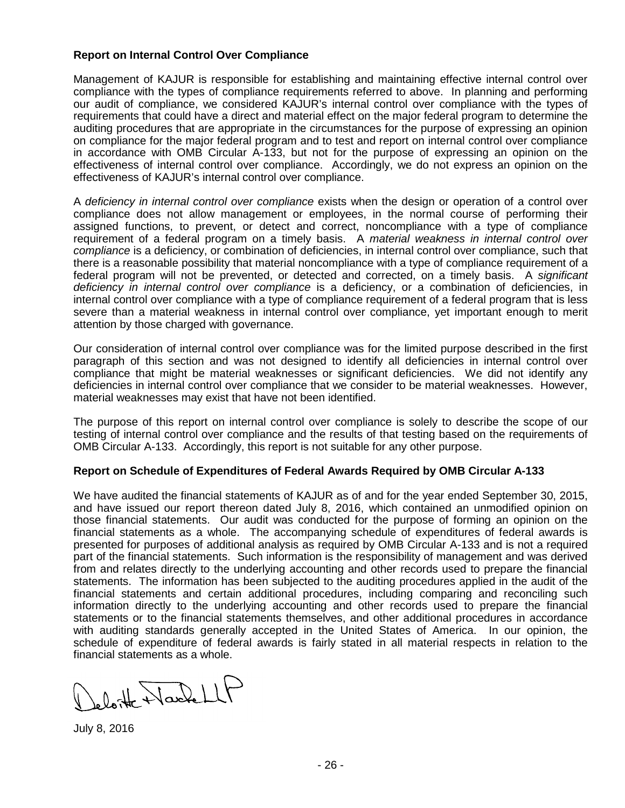### **Report on Internal Control Over Compliance**

Management of KAJUR is responsible for establishing and maintaining effective internal control over compliance with the types of compliance requirements referred to above. In planning and performing our audit of compliance, we considered KAJUR's internal control over compliance with the types of requirements that could have a direct and material effect on the major federal program to determine the auditing procedures that are appropriate in the circumstances for the purpose of expressing an opinion on compliance for the major federal program and to test and report on internal control over compliance in accordance with OMB Circular A-133, but not for the purpose of expressing an opinion on the effectiveness of internal control over compliance. Accordingly, we do not express an opinion on the effectiveness of KAJUR's internal control over compliance.

A *deficiency in internal control over compliance* exists when the design or operation of a control over compliance does not allow management or employees, in the normal course of performing their assigned functions, to prevent, or detect and correct, noncompliance with a type of compliance requirement of a federal program on a timely basis. A *material weakness in internal control over compliance* is a deficiency, or combination of deficiencies, in internal control over compliance, such that there is a reasonable possibility that material noncompliance with a type of compliance requirement of a federal program will not be prevented, or detected and corrected, on a timely basis. A *significant deficiency in internal control over compliance* is a deficiency, or a combination of deficiencies, in internal control over compliance with a type of compliance requirement of a federal program that is less severe than a material weakness in internal control over compliance, yet important enough to merit attention by those charged with governance.

Our consideration of internal control over compliance was for the limited purpose described in the first paragraph of this section and was not designed to identify all deficiencies in internal control over compliance that might be material weaknesses or significant deficiencies. We did not identify any deficiencies in internal control over compliance that we consider to be material weaknesses. However, material weaknesses may exist that have not been identified.

The purpose of this report on internal control over compliance is solely to describe the scope of our testing of internal control over compliance and the results of that testing based on the requirements of OMB Circular A-133. Accordingly, this report is not suitable for any other purpose.

### **Report on Schedule of Expenditures of Federal Awards Required by OMB Circular A-133**

We have audited the financial statements of KAJUR as of and for the year ended September 30, 2015, and have issued our report thereon dated July 8, 2016, which contained an unmodified opinion on those financial statements. Our audit was conducted for the purpose of forming an opinion on the financial statements as a whole. The accompanying schedule of expenditures of federal awards is presented for purposes of additional analysis as required by OMB Circular A-133 and is not a required part of the financial statements. Such information is the responsibility of management and was derived from and relates directly to the underlying accounting and other records used to prepare the financial statements. The information has been subjected to the auditing procedures applied in the audit of the financial statements and certain additional procedures, including comparing and reconciling such information directly to the underlying accounting and other records used to prepare the financial statements or to the financial statements themselves, and other additional procedures in accordance with auditing standards generally accepted in the United States of America. In our opinion, the schedule of expenditure of federal awards is fairly stated in all material respects in relation to the financial statements as a whole.

leloitte NacheLLF

July 8, 2016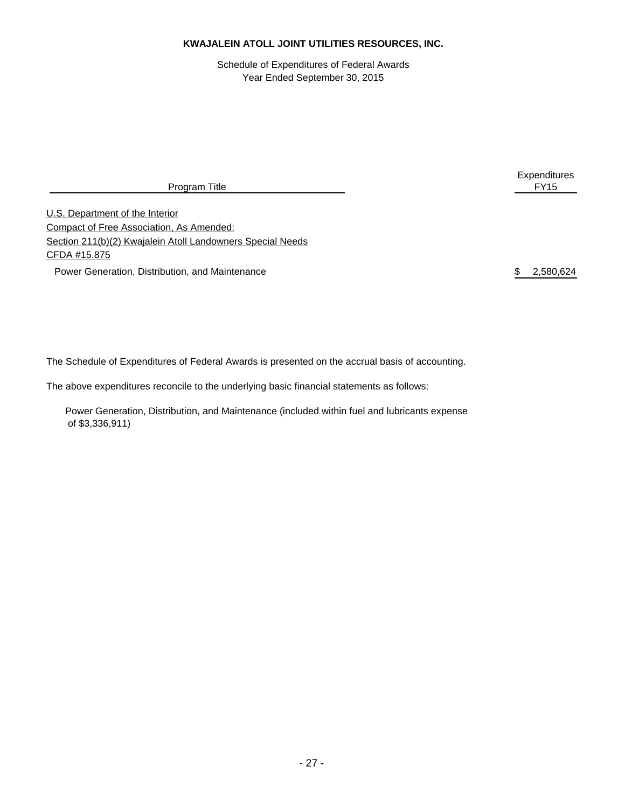Schedule of Expenditures of Federal Awards Year Ended September 30, 2015

Program Title

U.S. Department of the Interior Compact of Free Association, As Amended: Section 211(b)(2) Kwajalein Atoll Landowners Special Needs CFDA #15.875 Power Generation, Distribution, and Maintenance **\$ 2,580,624** \$ 2,580,624

The Schedule of Expenditures of Federal Awards is presented on the accrual basis of accounting.

The above expenditures reconcile to the underlying basic financial statements as follows:

 Power Generation, Distribution, and Maintenance (included within fuel and lubricants expense of \$3,336,911)

Expenditures<br>FY15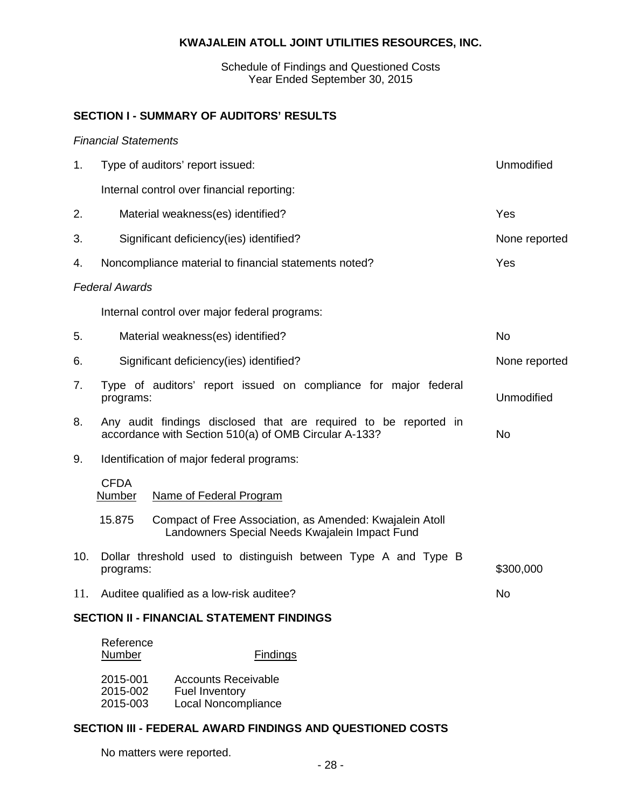Schedule of Findings and Questioned Costs Year Ended September 30, 2015

## **SECTION I - SUMMARY OF AUDITORS' RESULTS**

### *Financial Statements*

| 1.  | Type of auditors' report issued:                                             | Unmodified                                                                                                 |           |
|-----|------------------------------------------------------------------------------|------------------------------------------------------------------------------------------------------------|-----------|
|     | Internal control over financial reporting:                                   |                                                                                                            |           |
| 2.  | Material weakness(es) identified?                                            |                                                                                                            | Yes       |
| 3.  | Significant deficiency(ies) identified?                                      | None reported                                                                                              |           |
| 4.  | Noncompliance material to financial statements noted?                        |                                                                                                            | Yes       |
|     | <b>Federal Awards</b>                                                        |                                                                                                            |           |
|     | Internal control over major federal programs:                                |                                                                                                            |           |
| 5.  | Material weakness(es) identified?                                            | <b>No</b>                                                                                                  |           |
| 6.  | Significant deficiency(ies) identified?                                      |                                                                                                            |           |
| 7.  | Type of auditors' report issued on compliance for major federal<br>programs: | Unmodified                                                                                                 |           |
| 8.  | accordance with Section 510(a) of OMB Circular A-133?                        | Any audit findings disclosed that are required to be reported in                                           | <b>No</b> |
| 9.  | Identification of major federal programs:                                    |                                                                                                            |           |
|     | <b>CFDA</b><br>Number<br>Name of Federal Program                             |                                                                                                            |           |
|     | 15.875                                                                       | Compact of Free Association, as Amended: Kwajalein Atoll<br>Landowners Special Needs Kwajalein Impact Fund |           |
| 10. | programs:                                                                    | Dollar threshold used to distinguish between Type A and Type B                                             | \$300,000 |
| 11. | Auditee qualified as a low-risk auditee?                                     |                                                                                                            | <b>No</b> |
|     | <b>SECTION II - FINANCIAL STATEMENT FINDINGS</b>                             |                                                                                                            |           |
|     | Reference<br><b>Number</b>                                                   | <b>Findings</b>                                                                                            |           |

| 2015-001 | <b>Accounts Receivable</b> |
|----------|----------------------------|
| 2015-002 | <b>Fuel Inventory</b>      |
|          |                            |
| 2015-003 | Local Noncompliance        |

## **SECTION III - FEDERAL AWARD FINDINGS AND QUESTIONED COSTS**

No matters were reported.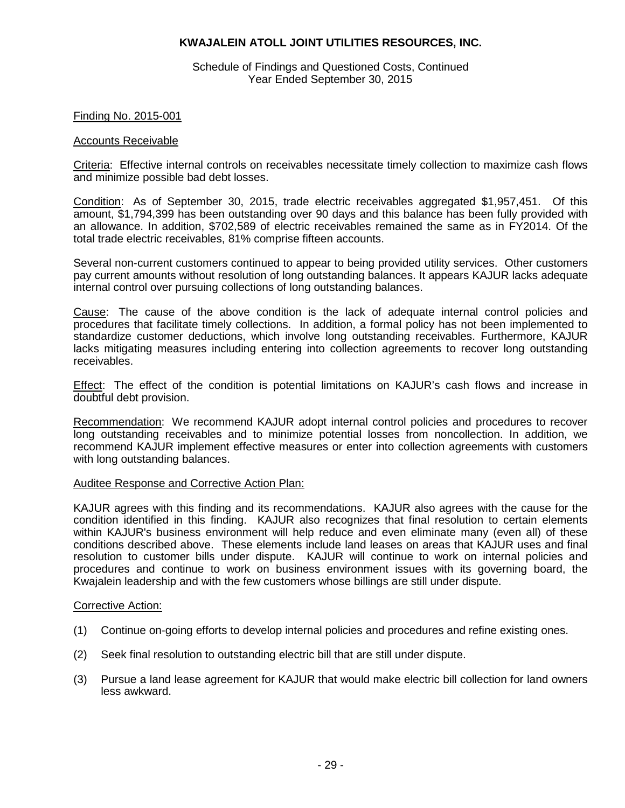Schedule of Findings and Questioned Costs, Continued Year Ended September 30, 2015

#### Finding No. 2015-001

#### Accounts Receivable

Criteria: Effective internal controls on receivables necessitate timely collection to maximize cash flows and minimize possible bad debt losses.

Condition: As of September 30, 2015, trade electric receivables aggregated \$1,957,451. Of this amount, \$1,794,399 has been outstanding over 90 days and this balance has been fully provided with an allowance. In addition, \$702,589 of electric receivables remained the same as in FY2014. Of the total trade electric receivables, 81% comprise fifteen accounts.

Several non-current customers continued to appear to being provided utility services. Other customers pay current amounts without resolution of long outstanding balances. It appears KAJUR lacks adequate internal control over pursuing collections of long outstanding balances.

Cause: The cause of the above condition is the lack of adequate internal control policies and procedures that facilitate timely collections. In addition, a formal policy has not been implemented to standardize customer deductions, which involve long outstanding receivables. Furthermore, KAJUR lacks mitigating measures including entering into collection agreements to recover long outstanding receivables.

Effect: The effect of the condition is potential limitations on KAJUR's cash flows and increase in doubtful debt provision.

Recommendation: We recommend KAJUR adopt internal control policies and procedures to recover long outstanding receivables and to minimize potential losses from noncollection. In addition, we recommend KAJUR implement effective measures or enter into collection agreements with customers with long outstanding balances.

#### Auditee Response and Corrective Action Plan:

KAJUR agrees with this finding and its recommendations. KAJUR also agrees with the cause for the condition identified in this finding. KAJUR also recognizes that final resolution to certain elements within KAJUR's business environment will help reduce and even eliminate many (even all) of these conditions described above. These elements include land leases on areas that KAJUR uses and final resolution to customer bills under dispute. KAJUR will continue to work on internal policies and procedures and continue to work on business environment issues with its governing board, the Kwajalein leadership and with the few customers whose billings are still under dispute.

#### Corrective Action:

- (1) Continue on-going efforts to develop internal policies and procedures and refine existing ones.
- (2) Seek final resolution to outstanding electric bill that are still under dispute.
- (3) Pursue a land lease agreement for KAJUR that would make electric bill collection for land owners less awkward.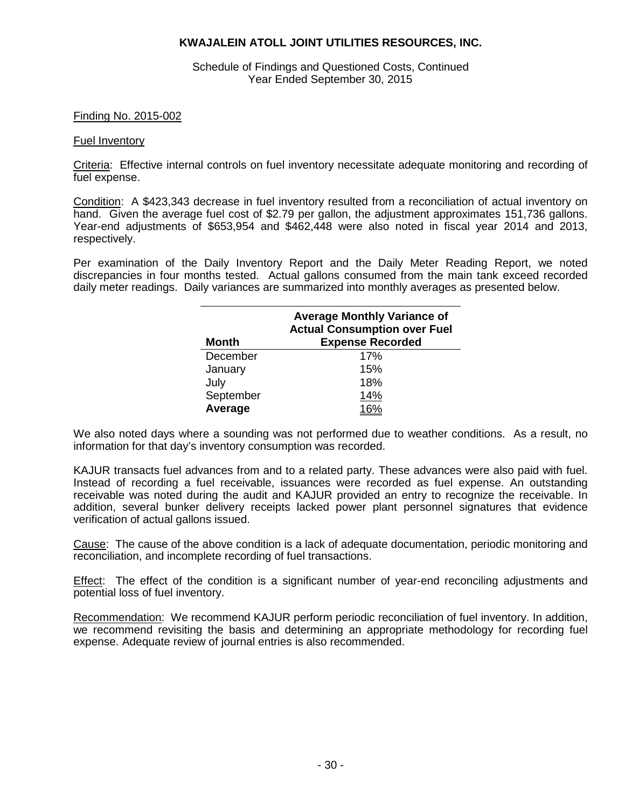Schedule of Findings and Questioned Costs, Continued Year Ended September 30, 2015

#### Finding No. 2015-002

#### Fuel Inventory

Criteria: Effective internal controls on fuel inventory necessitate adequate monitoring and recording of fuel expense.

Condition: A \$423,343 decrease in fuel inventory resulted from a reconciliation of actual inventory on hand. Given the average fuel cost of \$2.79 per gallon, the adjustment approximates 151,736 gallons. Year-end adjustments of \$653,954 and \$462,448 were also noted in fiscal year 2014 and 2013, respectively.

Per examination of the Daily Inventory Report and the Daily Meter Reading Report, we noted discrepancies in four months tested. Actual gallons consumed from the main tank exceed recorded daily meter readings. Daily variances are summarized into monthly averages as presented below.

| <b>Month</b> | <b>Average Monthly Variance of</b><br><b>Actual Consumption over Fuel</b><br><b>Expense Recorded</b> |
|--------------|------------------------------------------------------------------------------------------------------|
| December     | 17%                                                                                                  |
| January      | 15%                                                                                                  |
| July         | 18%                                                                                                  |
| September    | 14%                                                                                                  |
| Average      |                                                                                                      |

We also noted days where a sounding was not performed due to weather conditions. As a result, no information for that day's inventory consumption was recorded.

KAJUR transacts fuel advances from and to a related party. These advances were also paid with fuel. Instead of recording a fuel receivable, issuances were recorded as fuel expense. An outstanding receivable was noted during the audit and KAJUR provided an entry to recognize the receivable. In addition, several bunker delivery receipts lacked power plant personnel signatures that evidence verification of actual gallons issued.

Cause: The cause of the above condition is a lack of adequate documentation, periodic monitoring and reconciliation, and incomplete recording of fuel transactions.

Effect: The effect of the condition is a significant number of year-end reconciling adjustments and potential loss of fuel inventory.

Recommendation: We recommend KAJUR perform periodic reconciliation of fuel inventory. In addition, we recommend revisiting the basis and determining an appropriate methodology for recording fuel expense. Adequate review of journal entries is also recommended.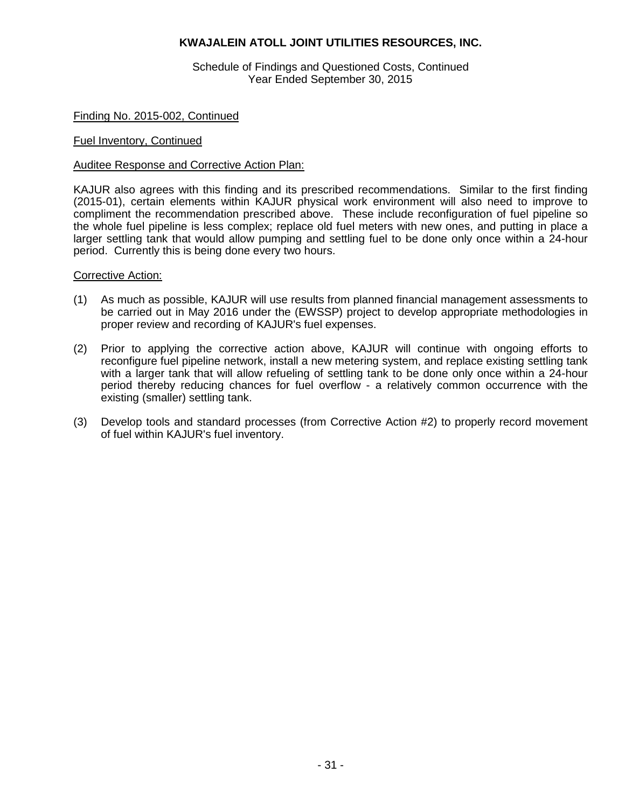Schedule of Findings and Questioned Costs, Continued Year Ended September 30, 2015

#### Finding No. 2015-002, Continued

#### Fuel Inventory, Continued

#### Auditee Response and Corrective Action Plan:

KAJUR also agrees with this finding and its prescribed recommendations. Similar to the first finding (2015-01), certain elements within KAJUR physical work environment will also need to improve to compliment the recommendation prescribed above. These include reconfiguration of fuel pipeline so the whole fuel pipeline is less complex; replace old fuel meters with new ones, and putting in place a larger settling tank that would allow pumping and settling fuel to be done only once within a 24-hour period. Currently this is being done every two hours.

#### Corrective Action:

- (1) As much as possible, KAJUR will use results from planned financial management assessments to be carried out in May 2016 under the (EWSSP) project to develop appropriate methodologies in proper review and recording of KAJUR's fuel expenses.
- (2) Prior to applying the corrective action above, KAJUR will continue with ongoing efforts to reconfigure fuel pipeline network, install a new metering system, and replace existing settling tank with a larger tank that will allow refueling of settling tank to be done only once within a 24-hour period thereby reducing chances for fuel overflow - a relatively common occurrence with the existing (smaller) settling tank.
- (3) Develop tools and standard processes (from Corrective Action #2) to properly record movement of fuel within KAJUR's fuel inventory.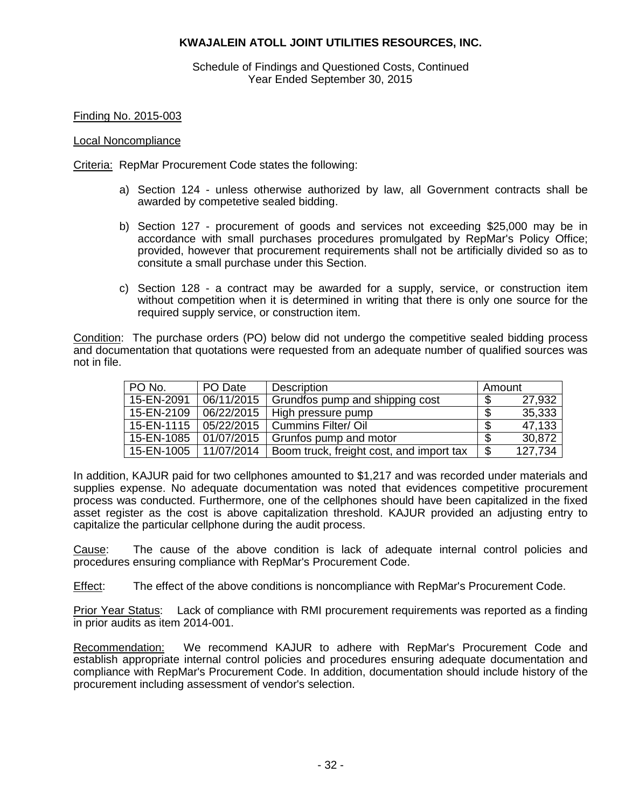Schedule of Findings and Questioned Costs, Continued Year Ended September 30, 2015

Finding No. 2015-003

#### Local Noncompliance

Criteria: RepMar Procurement Code states the following:

- a) Section 124 unless otherwise authorized by law, all Government contracts shall be awarded by competetive sealed bidding.
- b) Section 127 procurement of goods and services not exceeding \$25,000 may be in accordance with small purchases procedures promulgated by RepMar's Policy Office; provided, however that procurement requirements shall not be artificially divided so as to consitute a small purchase under this Section.
- c) Section 128 a contract may be awarded for a supply, service, or construction item without competition when it is determined in writing that there is only one source for the required supply service, or construction item.

Condition: The purchase orders (PO) below did not undergo the competitive sealed bidding process and documentation that quotations were requested from an adequate number of qualified sources was not in file.

| PO No.     | PO Date    | <b>Description</b>                       |    | Amount  |  |
|------------|------------|------------------------------------------|----|---------|--|
| 15-EN-2091 | 06/11/2015 | Grundfos pump and shipping cost          |    | 27,932  |  |
| 15-EN-2109 | 06/22/2015 | High pressure pump                       |    | 35,333  |  |
| 15-EN-1115 | 05/22/2015 | <b>Cummins Filter/ Oil</b>               |    | 47,133  |  |
| 15-EN-1085 | 01/07/2015 | Grunfos pump and motor                   |    | 30,872  |  |
| 15-EN-1005 | 11/07/2014 | Boom truck, freight cost, and import tax | \$ | 127,734 |  |

In addition, KAJUR paid for two cellphones amounted to \$1,217 and was recorded under materials and supplies expense. No adequate documentation was noted that evidences competitive procurement process was conducted. Furthermore, one of the cellphones should have been capitalized in the fixed asset register as the cost is above capitalization threshold. KAJUR provided an adjusting entry to capitalize the particular cellphone during the audit process.

Cause: The cause of the above condition is lack of adequate internal control policies and procedures ensuring compliance with RepMar's Procurement Code.

Effect: The effect of the above conditions is noncompliance with RepMar's Procurement Code.

Prior Year Status: Lack of compliance with RMI procurement requirements was reported as a finding in prior audits as item 2014-001.

Recommendation: We recommend KAJUR to adhere with RepMar's Procurement Code and establish appropriate internal control policies and procedures ensuring adequate documentation and compliance with RepMar's Procurement Code. In addition, documentation should include history of the procurement including assessment of vendor's selection.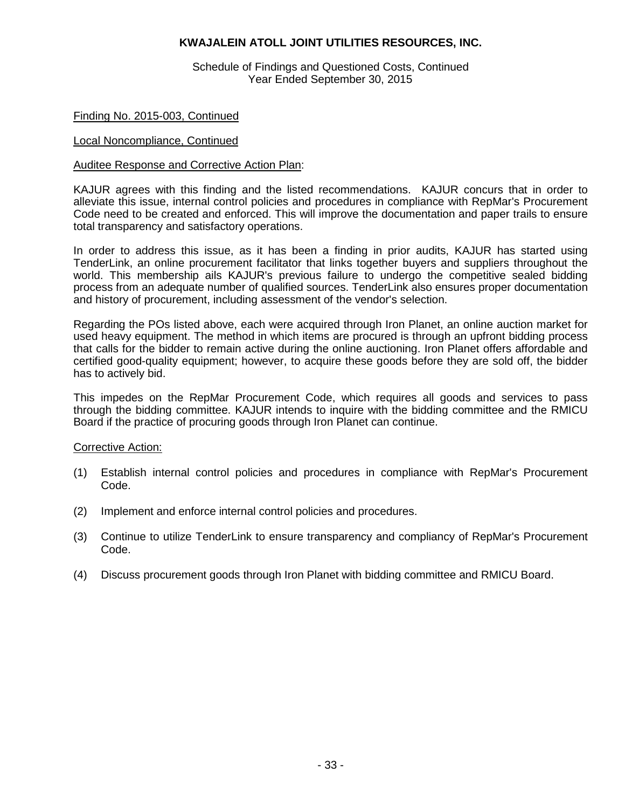Schedule of Findings and Questioned Costs, Continued Year Ended September 30, 2015

#### Finding No. 2015-003, Continued

#### Local Noncompliance, Continued

#### Auditee Response and Corrective Action Plan:

KAJUR agrees with this finding and the listed recommendations. KAJUR concurs that in order to alleviate this issue, internal control policies and procedures in compliance with RepMar's Procurement Code need to be created and enforced. This will improve the documentation and paper trails to ensure total transparency and satisfactory operations.

In order to address this issue, as it has been a finding in prior audits, KAJUR has started using TenderLink, an online procurement facilitator that links together buyers and suppliers throughout the world. This membership ails KAJUR's previous failure to undergo the competitive sealed bidding process from an adequate number of qualified sources. TenderLink also ensures proper documentation and history of procurement, including assessment of the vendor's selection.

Regarding the POs listed above, each were acquired through Iron Planet, an online auction market for used heavy equipment. The method in which items are procured is through an upfront bidding process that calls for the bidder to remain active during the online auctioning. Iron Planet offers affordable and certified good-quality equipment; however, to acquire these goods before they are sold off, the bidder has to actively bid.

This impedes on the RepMar Procurement Code, which requires all goods and services to pass through the bidding committee. KAJUR intends to inquire with the bidding committee and the RMICU Board if the practice of procuring goods through Iron Planet can continue.

#### Corrective Action:

- (1) Establish internal control policies and procedures in compliance with RepMar's Procurement Code.
- (2) Implement and enforce internal control policies and procedures.
- (3) Continue to utilize TenderLink to ensure transparency and compliancy of RepMar's Procurement Code.
- (4) Discuss procurement goods through Iron Planet with bidding committee and RMICU Board.